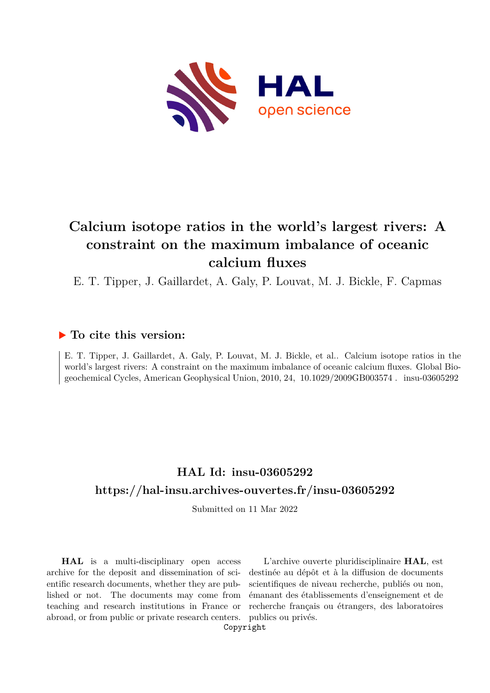

# **Calcium isotope ratios in the world's largest rivers: A constraint on the maximum imbalance of oceanic calcium fluxes**

E. T. Tipper, J. Gaillardet, A. Galy, P. Louvat, M. J. Bickle, F. Capmas

### **To cite this version:**

E. T. Tipper, J. Gaillardet, A. Galy, P. Louvat, M. J. Bickle, et al.. Calcium isotope ratios in the world's largest rivers: A constraint on the maximum imbalance of oceanic calcium fluxes. Global Biogeochemical Cycles, American Geophysical Union, 2010, 24, 10.1029/2009GB003574. insu-03605292

# **HAL Id: insu-03605292 <https://hal-insu.archives-ouvertes.fr/insu-03605292>**

Submitted on 11 Mar 2022

**HAL** is a multi-disciplinary open access archive for the deposit and dissemination of scientific research documents, whether they are published or not. The documents may come from teaching and research institutions in France or abroad, or from public or private research centers.

L'archive ouverte pluridisciplinaire **HAL**, est destinée au dépôt et à la diffusion de documents scientifiques de niveau recherche, publiés ou non, émanant des établissements d'enseignement et de recherche français ou étrangers, des laboratoires publics ou privés.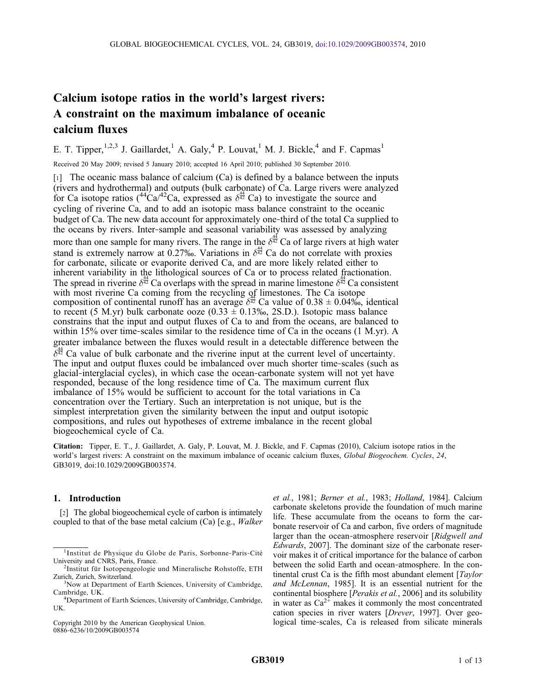## Calcium isotope ratios in the world's largest rivers: A constraint on the maximum imbalance of oceanic calcium fluxes

E. T. Tipper,  $1,2,3$  J. Gaillardet, <sup>1</sup> A. Galy, <sup>4</sup> P. Louvat, <sup>1</sup> M. J. Bickle, <sup>4</sup> and F. Capmas<sup>1</sup>

Received 20 May 2009; revised 5 January 2010; accepted 16 April 2010; published 30 September 2010.

 $\lceil 1 \rceil$  The oceanic mass balance of calcium (Ca) is defined by a balance between the inputs (rivers and hydrothermal) and outputs (bulk carbonate) of Ca. Large rivers were analyzed for Ca isotope ratios  $({}^{44}Ca^{42}Ca)$ , expressed as  $\delta^{\frac{4}{42}}Ca$ ) to investigate the source and cycling of riverine Ca, and to add an isotopic mass balance constraint to the oceanic budget of Ca. The new data account for approximately one‐third of the total Ca supplied to the oceans by rivers. Inter‐sample and seasonal variability was assessed by analyzing more than one sample for many rivers. The range in the  $\delta^{\frac{4}{42}}$  Ca of large rivers at high water stand is extremely narrow at 0.27‰. Variations in  $\delta^{\frac{44}{42}}$  Ca do not correlate with proxies for carbonate, silicate or evaporite derived Ca, and are more likely related either to inherent variability in the lithological sources of Ca or to process related fractionation. The spread in riverine  $\delta^{\frac{44}{42}}$  Ca overlaps with the spread in marine limestone  $\delta^{\frac{44}{42}}$  Ca consistent with most riverine Ca coming from the recycling of limestones. The Ca isotope composition of continental runoff has an average  $\delta^{\frac{44}{42}}$  Ca value of 0.38  $\pm$  0.04‰, identical to recent (5 M.yr) bulk carbonate ooze (0.33  $\pm$  0.13‰, 2S.D.). Isotopic mass balance constrains that the input and output fluxes of Ca to and from the oceans, are balanced to within 15% over time-scales similar to the residence time of Ca in the oceans (1 M.yr). A greater imbalance between the fluxes would result in a detectable difference between the  $\delta^{\frac{244}{642}}$  Ca value of bulk carbonate and the riverine input at the current level of uncertainty. The input and output fluxes could be imbalanced over much shorter time-scales (such as glacial‐interglacial cycles), in which case the ocean‐carbonate system will not yet have responded, because of the long residence time of Ca. The maximum current flux imbalance of 15% would be sufficient to account for the total variations in Ca concentration over the Tertiary. Such an interpretation is not unique, but is the simplest interpretation given the similarity between the input and output isotopic compositions, and rules out hypotheses of extreme imbalance in the recent global biogeochemical cycle of Ca.

Citation: Tipper, E. T., J. Gaillardet, A. Galy, P. Louvat, M. J. Bickle, and F. Capmas (2010), Calcium isotope ratios in the world's largest rivers: A constraint on the maximum imbalance of oceanic calcium fluxes, Global Biogeochem. Cycles, 24, GB3019, doi:10.1029/2009GB003574.

#### 1. Introduction

[2] The global biogeochemical cycle of carbon is intimately coupled to that of the base metal calcium (Ca) [e.g., Walker

Copyright 2010 by the American Geophysical Union. 0886‐6236/10/2009GB003574

et al., 1981; Berner et al., 1983; Holland, 1984]. Calcium carbonate skeletons provide the foundation of much marine life. These accumulate from the oceans to form the carbonate reservoir of Ca and carbon, five orders of magnitude larger than the ocean-atmosphere reservoir [Ridgwell and Edwards, 2007]. The dominant size of the carbonate reservoir makes it of critical importance for the balance of carbon between the solid Earth and ocean‐atmosphere. In the continental crust Ca is the fifth most abundant element [*Taylor* and McLennan, 1985]. It is an essential nutrient for the continental biosphere [Perakis et al., 2006] and its solubility in water as  $Ca^{2+}$  makes it commonly the most concentrated cation species in river waters [Drever, 1997]. Over geological time‐scales, Ca is released from silicate minerals

<sup>1</sup> Institut de Physique du Globe de Paris, Sorbonne‐Paris‐Cité University and CNRS, Paris, France. <sup>2</sup>

<sup>&</sup>lt;sup>2</sup>Institut für Isotopengeologie und Mineralische Rohstoffe, ETH Zurich, Zurich, Switzerland. <sup>3</sup>

<sup>&</sup>lt;sup>3</sup>Now at Department of Earth Sciences, University of Cambridge, Cambridge, UK. <sup>4</sup>

<sup>&</sup>lt;sup>4</sup>Department of Earth Sciences, University of Cambridge, Cambridge, UK.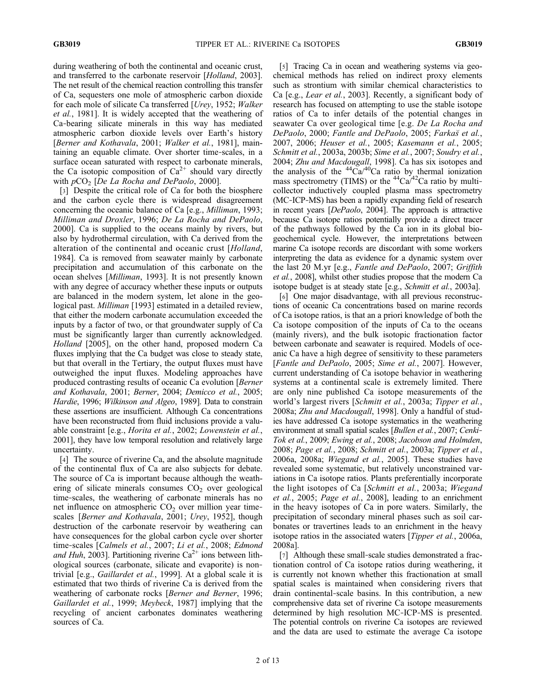during weathering of both the continental and oceanic crust, and transferred to the carbonate reservoir [Holland, 2003]. The net result of the chemical reaction controlling this transfer of Ca, sequesters one mole of atmospheric carbon dioxide for each mole of silicate Ca transferred [Urey, 1952; Walker et al., 1981]. It is widely accepted that the weathering of Ca‐bearing silicate minerals in this way has mediated atmospheric carbon dioxide levels over Earth's history [Berner and Kothavala, 2001; Walker et al., 1981], maintaining an equable climate. Over shorter time‐scales, in a surface ocean saturated with respect to carbonate minerals, the Ca isotopic composition of  $Ca^{2+}$  should vary directly with  $pCO<sub>2</sub>$  [De La Rocha and DePaolo, 2000].

[3] Despite the critical role of Ca for both the biosphere and the carbon cycle there is widespread disagreement concerning the oceanic balance of Ca [e.g., Milliman, 1993; Milliman and Droxler, 1996; De La Rocha and DePaolo, 2000]. Ca is supplied to the oceans mainly by rivers, but also by hydrothermal circulation, with Ca derived from the alteration of the continental and oceanic crust [Holland, 1984]. Ca is removed from seawater mainly by carbonate precipitation and accumulation of this carbonate on the ocean shelves [Milliman, 1993]. It is not presently known with any degree of accuracy whether these inputs or outputs are balanced in the modern system, let alone in the geological past. *Milliman* [1993] estimated in a detailed review, that either the modern carbonate accumulation exceeded the inputs by a factor of two, or that groundwater supply of Ca must be significantly larger than currently acknowledged. Holland [2005], on the other hand, proposed modern Ca fluxes implying that the Ca budget was close to steady state, but that overall in the Tertiary, the output fluxes must have outweighed the input fluxes. Modeling approaches have produced contrasting results of oceanic Ca evolution [Berner and Kothavala, 2001; Berner, 2004; Demicco et al., 2005; Hardie, 1996; Wilkinson and Algeo, 1989]. Data to constrain these assertions are insufficient. Although Ca concentrations have been reconstructed from fluid inclusions provide a valuable constraint [e.g., Horita et al., 2002; Lowenstein et al., 2001], they have low temporal resolution and relatively large uncertainty.

[4] The source of riverine Ca, and the absolute magnitude of the continental flux of Ca are also subjects for debate. The source of Ca is important because although the weathering of silicate minerals consumes  $CO<sub>2</sub>$  over geological time‐scales, the weathering of carbonate minerals has no net influence on atmospheric  $CO<sub>2</sub>$  over million year timescales [Berner and Kothavala, 2001; Urey, 1952], though destruction of the carbonate reservoir by weathering can have consequences for the global carbon cycle over shorter time-scales [Calmels et al., 2007; Li et al., 2008; Edmond and Huh, 2003]. Partitioning riverine  $Ca^{2+}$  ions between lithological sources (carbonate, silicate and evaporite) is non‐ trivial [e.g., Gaillardet et al., 1999]. At a global scale it is estimated that two thirds of riverine Ca is derived from the weathering of carbonate rocks [Berner and Berner, 1996; Gaillardet et al., 1999; Meybeck, 1987] implying that the recycling of ancient carbonates dominates weathering sources of Ca.

[5] Tracing Ca in ocean and weathering systems via geochemical methods has relied on indirect proxy elements such as strontium with similar chemical characteristics to Ca [e.g., Lear et al., 2003]. Recently, a significant body of research has focused on attempting to use the stable isotope ratios of Ca to infer details of the potential changes in seawater Ca over geological time [e.g. De La Rocha and DePaolo, 2000; Fantle and DePaolo, 2005; Farkas et al., 2007, 2006; Heuser et al., 2005; Kasemann et al., 2005; Schmitt et al., 2003a, 2003b; Sime et al., 2007; Soudry et al., 2004; Zhu and Macdougall, 1998]. Ca has six isotopes and the analysis of the  $^{44}Ca^{40}Ca$  ratio by thermal ionization mass spectrometry (TIMS) or the  ${}^{44}Ca<sup>/42</sup>Ca$  ratio by multicollector inductively coupled plasma mass spectrometry (MC‐ICP‐MS) has been a rapidly expanding field of research in recent years [DePaolo, 2004]. The approach is attractive because Ca isotope ratios potentially provide a direct tracer of the pathways followed by the Ca ion in its global biogeochemical cycle. However, the interpretations between marine Ca isotope records are discordant with some workers interpreting the data as evidence for a dynamic system over the last 20 M.yr [e.g., Fantle and DePaolo, 2007; Griffith et al., 2008], whilst other studies propose that the modern Ca isotope budget is at steady state [e.g., Schmitt et al., 2003a].

[6] One major disadvantage, with all previous reconstructions of oceanic Ca concentrations based on marine records of Ca isotope ratios, is that an a priori knowledge of both the Ca isotope composition of the inputs of Ca to the oceans (mainly rivers), and the bulk isotopic fractionation factor between carbonate and seawater is required. Models of oceanic Ca have a high degree of sensitivity to these parameters [Fantle and DePaolo, 2005; Sime et al., 2007]. However, current understanding of Ca isotope behavior in weathering systems at a continental scale is extremely limited. There are only nine published Ca isotope measurements of the world's largest rivers [Schmitt et al., 2003a; Tipper et al., 2008a; Zhu and Macdougall, 1998]. Only a handful of studies have addressed Ca isotope systematics in the weathering environment at small spatial scales [Bullen et al., 2007; Cenki-Tok et al., 2009; Ewing et al., 2008; Jacobson and Holmden, 2008; Page et al., 2008; Schmitt et al., 2003a; Tipper et al., 2006a, 2008a; Wiegand et al., 2005]. These studies have revealed some systematic, but relatively unconstrained variations in Ca isotope ratios. Plants preferentially incorporate the light isotopes of Ca [Schmitt et al., 2003a; Wiegand et al., 2005; Page et al., 2008], leading to an enrichment in the heavy isotopes of Ca in pore waters. Similarly, the precipitation of secondary mineral phases such as soil carbonates or travertines leads to an enrichment in the heavy isotope ratios in the associated waters [Tipper et al., 2006a, 2008a].

[7] Although these small-scale studies demonstrated a fractionation control of Ca isotope ratios during weathering, it is currently not known whether this fractionation at small spatial scales is maintained when considering rivers that drain continental‐scale basins. In this contribution, a new comprehensive data set of riverine Ca isotope measurements determined by high resolution MC‐ICP‐MS is presented. The potential controls on riverine Ca isotopes are reviewed and the data are used to estimate the average Ca isotope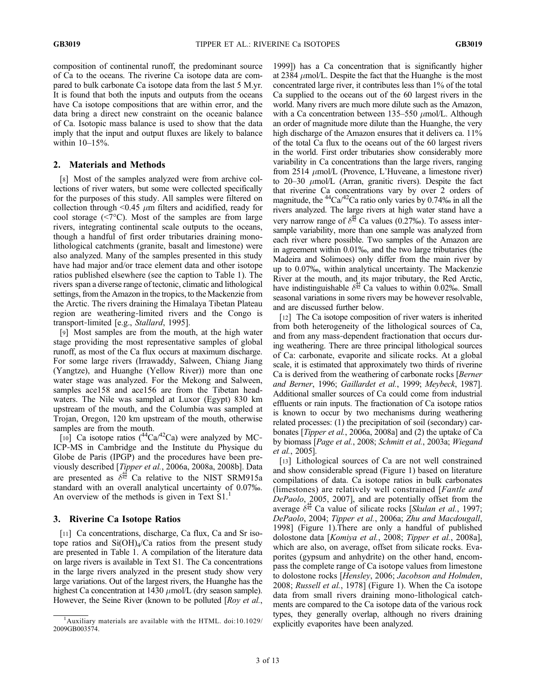composition of continental runoff, the predominant source of Ca to the oceans. The riverine Ca isotope data are compared to bulk carbonate Ca isotope data from the last 5 M.yr. It is found that both the inputs and outputs from the oceans have Ca isotope compositions that are within error, and the data bring a direct new constraint on the oceanic balance of Ca. Isotopic mass balance is used to show that the data imply that the input and output fluxes are likely to balance within 10–15%.

#### 2. Materials and Methods

[8] Most of the samples analyzed were from archive collections of river waters, but some were collected specifically for the purposes of this study. All samples were filtered on collection through  $\leq 0.45$   $\mu$ m filters and acidified, ready for cool storage  $(\leq 7^{\circ}C)$ . Most of the samples are from large rivers, integrating continental scale outputs to the oceans, though a handful of first order tributaries draining monolithological catchments (granite, basalt and limestone) were also analyzed. Many of the samples presented in this study have had major and/or trace element data and other isotope ratios published elsewhere (see the caption to Table 1). The rivers span a diverse range of tectonic, climatic and lithological settings, from the Amazon in the tropics, to the Mackenzie from the Arctic. The rivers draining the Himalaya Tibetan Plateau region are weathering‐limited rivers and the Congo is transport‐limited [e.g., Stallard, 1995].

[9] Most samples are from the mouth, at the high water stage providing the most representative samples of global runoff, as most of the Ca flux occurs at maximum discharge. For some large rivers (Irrawaddy, Salween, Chiang Jiang (Yangtze), and Huanghe (Yellow River)) more than one water stage was analyzed. For the Mekong and Salween, samples ace158 and ace156 are from the Tibetan headwaters. The Nile was sampled at Luxor (Egypt) 830 km upstream of the mouth, and the Columbia was sampled at Trojan, Oregon, 120 km upstream of the mouth, otherwise samples are from the mouth.

[10] Ca isotope ratios  $(^{44}Ca^{42}Ca)$  were analyzed by MC-ICP‐MS in Cambridge and the Institute du Physique du Globe de Paris (IPGP) and the procedures have been previously described [Tipper et al., 2006a, 2008a, 2008b]. Data are presented as  $\delta^{\frac{4}{42}}$  Ca relative to the NIST SRM915a standard with an overall analytical uncertainty of 0.07‰. An overview of the methods is given in Text  $S1<sup>1</sup>$ 

#### 3. Riverine Ca Isotope Ratios

[11] Ca concentrations, discharge, Ca flux, Ca and Sr isotope ratios and  $Si(OH)_{4}/Ca$  ratios from the present study are presented in Table 1. A compilation of the literature data on large rivers is available in Text S1. The Ca concentrations in the large rivers analyzed in the present study show very large variations. Out of the largest rivers, the Huanghe has the highest Ca concentration at 1430  $\mu$ mol/L (dry season sample). However, the Seine River (known to be polluted [Roy et al.,

1999]) has a Ca concentration that is significantly higher at 2384  $\mu$ mol/L. Despite the fact that the Huanghe is the most concentrated large river, it contributes less than 1% of the total Ca supplied to the oceans out of the 60 largest rivers in the world. Many rivers are much more dilute such as the Amazon, with a Ca concentration between 135–550  $\mu$ mol/L. Although an order of magnitude more dilute than the Huanghe, the very high discharge of the Amazon ensures that it delivers ca. 11% of the total Ca flux to the oceans out of the 60 largest rivers in the world. First order tributaries show considerably more variability in Ca concentrations than the large rivers, ranging from 2514  $\mu$ mol/L (Provence, L'Huveane, a limestone river) to  $20-30 \mu$ mol/L (Arran, granitic rivers). Despite the fact that riverine Ca concentrations vary by over 2 orders of magnitude, the  $^{44}Ca^{42}Ca$  ratio only varies by 0.74‰ in all the rivers analyzed. The large rivers at high water stand have a very narrow range of  $\delta^{\frac{44}{92}}$  Ca values (0.27‰). To assess intersample variability, more than one sample was analyzed from each river where possible. Two samples of the Amazon are in agreement within 0.01‰, and the two large tributaries (the Madeira and Solimoes) only differ from the main river by up to 0.07‰, within analytical uncertainty. The Mackenzie River at the mouth, and its major tributary, the Red Arctic, have indistinguishable  $\delta^{\frac{44}{42}}$  Ca values to within 0.02‰. Small seasonal variations in some rivers may be however resolvable, and are discussed further below.

[12] The Ca isotope composition of river waters is inherited from both heterogeneity of the lithological sources of Ca, and from any mass-dependent fractionation that occurs during weathering. There are three principal lithological sources of Ca: carbonate, evaporite and silicate rocks. At a global scale, it is estimated that approximately two thirds of riverine Ca is derived from the weathering of carbonate rocks [Berner and Berner, 1996; Gaillardet et al., 1999; Meybeck, 1987]. Additional smaller sources of Ca could come from industrial effluents or rain inputs. The fractionation of Ca isotope ratios is known to occur by two mechanisms during weathering related processes: (1) the precipitation of soil (secondary) carbonates [Tipper et al., 2006a, 2008a] and (2) the uptake of Ca by biomass [Page et al., 2008; Schmitt et al., 2003a; Wiegand et al., 2005].

[13] Lithological sources of Ca are not well constrained and show considerable spread (Figure 1) based on literature compilations of data. Ca isotope ratios in bulk carbonates (limestones) are relatively well constrained [Fantle and DePaolo,  $2005$ , 2007], and are potentially offset from the average  $\delta^{\frac{44}{42}}$  Ca value of silicate rocks [Skulan et al., 1997; DePaolo, 2004; Tipper et al., 2006a; Zhu and Macdougall, 1998] (Figure 1).There are only a handful of published dolostone data [Komiya et al., 2008; Tipper et al., 2008a], which are also, on average, offset from silicate rocks. Evaporites (gypsum and anhydrite) on the other hand, encompass the complete range of Ca isotope values from limestone to dolostone rocks [Hensley, 2006; Jacobson and Holmden, 2008; Russell et al., 1978] (Figure 1). When the Ca isotope data from small rivers draining mono‐lithological catchments are compared to the Ca isotope data of the various rock types, they generally overlap, although no rivers draining

<sup>&</sup>lt;sup>1</sup>Auxiliary materials are available with the HTML. doi:10.1029/ explicitly evaporites have been analyzed. 2009GB003574.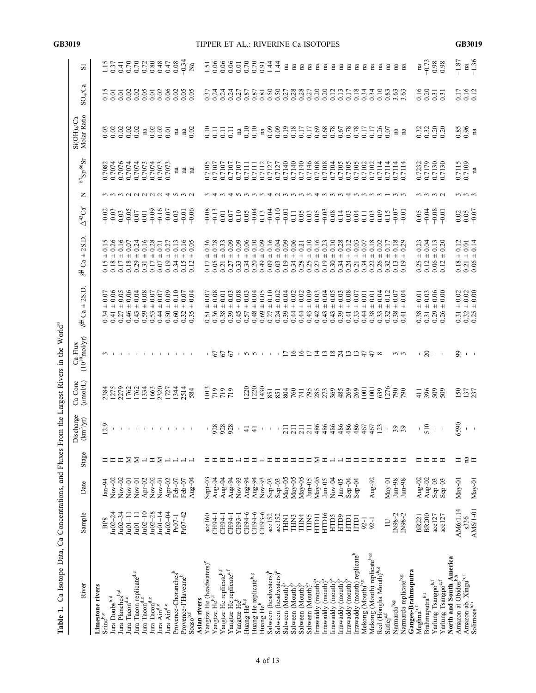| Ca Isotope Data,<br>Table 1.                                      |                                |              |                 |                                        |                             | Ca Concentrations, and Fluxes From the Largest Rivers in the World <sup>a</sup> |                                                              |                                                                                                                                                                                                                                                                                                                                                         |                                             |             |                                     |                                       |                                                     |                      |
|-------------------------------------------------------------------|--------------------------------|--------------|-----------------|----------------------------------------|-----------------------------|---------------------------------------------------------------------------------|--------------------------------------------------------------|---------------------------------------------------------------------------------------------------------------------------------------------------------------------------------------------------------------------------------------------------------------------------------------------------------------------------------------------------------|---------------------------------------------|-------------|-------------------------------------|---------------------------------------|-----------------------------------------------------|----------------------|
| River                                                             | Sample                         | Date         | Stage           | Discharge<br>$(\text{km}^3/\text{yr})$ | Ca Conc<br>$(\text{Im}o/L)$ | $(10^{10} \text{mol/yr})$<br>Ca Flux                                            | 2S.D.<br>$\overline{+}$<br>ී<br>$\delta^4$                   | 2S.D.<br>$\overline{+}$<br>ී<br>$\delta^{\frac{43}{42}}$                                                                                                                                                                                                                                                                                                | $\Delta^{43}$ Ca'                           | Z           | $^{87}\mathrm{Sr}^{/86}\mathrm{Sr}$ | Molar Ratio<br>$Si(OH)4$ Ca           | $SO_4$ Ca                                           | ವ                    |
| Limestone rivers                                                  |                                |              |                 |                                        |                             |                                                                                 |                                                              |                                                                                                                                                                                                                                                                                                                                                         |                                             |             |                                     |                                       |                                                     |                      |
| Seine <sup>b,c</sup>                                              | BP <sub>8</sub>                | $Jan-94$     | 프 프             | 12.9                                   | 2384<br>1275                |                                                                                 | 0.07<br>$+$<br>$0.34$<br>$0.41$                              | $0.15$<br>$0.26$                                                                                                                                                                                                                                                                                                                                        | $-0.02$                                     |             | 0.7082                              | 0.03                                  | 0.15                                                | 1.15                 |
| Jura Doubs <sup>b,d</sup>                                         | $Ju02 - 24$                    | $Nov-02$     |                 | $\mathbf{I}$                           |                             |                                                                                 | 0.06<br>$+$                                                  | $0.15 +$<br>0.18 +<br>0.17 +                                                                                                                                                                                                                                                                                                                            | $-0.03$                                     |             | 0.7074                              |                                       | 0.01                                                | 0.37                 |
| Jura Planches <sup>b,d</sup><br>Jura Tacon <sup>d,e</sup>         | $Ju02 - 34$<br>$I$ u $O1 - 11$ | $Nov-02$     | Ξ               |                                        | 2279                        |                                                                                 | 0.05<br>$\!+\!$<br>$^{\rm +}$<br>0.46<br>0.27                | 0.16                                                                                                                                                                                                                                                                                                                                                    | 0.03                                        |             | 0.7076<br>0.7074                    | 0.02                                  |                                                     | 0.70<br>0.70<br>0.70 |
|                                                                   |                                | $Nov-01$     |                 |                                        | 1762<br>1762                |                                                                                 | 0.06                                                         | $0.18 +$<br>0.29 +                                                                                                                                                                                                                                                                                                                                      | $-0.05$                                     |             |                                     |                                       |                                                     |                      |
| Jura Tacon replicate <sup>d,e</sup>                               | $11 - 10u$                     | $Nov-01$     | <b>NNHNNHNN</b> | <b>CONTRACTOR</b> 2012/03/20 12:00:00  | 1334                        |                                                                                 | 0.08<br>0.04<br>$\!$ $\!$ $\!$<br>0.59<br>0.43               |                                                                                                                                                                                                                                                                                                                                                         | $0.07$<br>0.01                              | nanana tuwa | 0.7074<br>0.7073                    | 0.02                                  | 5888<br>5888                                        | 0.72                 |
| Jura Tacon <sup>d,e</sup>                                         | $Ju02-10$                      | Apr-02       |                 |                                        |                             |                                                                                 | $^{\rm +}$                                                   | $\begin{array}{c} 0.31 \pm \\ 0.17 \pm \end{array}$                                                                                                                                                                                                                                                                                                     |                                             |             |                                     | $\mathbf{n}$                          |                                                     |                      |
| Jura Tacon $^{\mbox{\tiny d,e}}$                                  | $1u02 - 28$                    | $Nov-02$     |                 |                                        | 1663                        |                                                                                 | 0.07<br>$^{\rm +}$<br>0.53                                   |                                                                                                                                                                                                                                                                                                                                                         | $-0.09$                                     |             | 0.7074                              | 0.02                                  | $0.01$<br>$0.02$                                    | $0.80$<br>0.48       |
| Jura $\mathop{\rm Ain}\nolimits^{\rm d,e}$                        | $Ju01 - 14$                    | $Nov-01$     |                 |                                        | 2320                        |                                                                                 | 0.07<br>$\!+\!$<br>0.44                                      | $+$<br>$0.07\,$                                                                                                                                                                                                                                                                                                                                         | $-0.16$                                     |             | 0.7073                              |                                       |                                                     |                      |
| Jura $\mathop{\rm Ain}\nolimits^{\rm d,e}$                        | $1u02 - 04$                    | Apr-02       |                 |                                        | 1727                        |                                                                                 | 0.09<br>$^{\rm +}$<br>0.50                                   | $^{\rm +}$<br>0.19                                                                                                                                                                                                                                                                                                                                      | $-0.07$                                     |             | 0.7073                              | 0.01                                  | $0.06$<br>$0.02$                                    | 0.47                 |
| Provence-Choranches <sup>b</sup>                                  | Pr07-1                         | Feb-07       |                 |                                        | 1344                        |                                                                                 | 0.10<br>$\!+\!$<br>0.60                                      | $^{\rm +}$<br>0.34                                                                                                                                                                                                                                                                                                                                      | 0.03                                        |             | na                                  | $\rm na$                              |                                                     | $0.08\,$             |
| Provence-1'Huveane <sup>b</sup>                                   | $Pr07 - 42$                    | Feb-07       |                 |                                        | 2514                        |                                                                                 | 0.07<br>$\!+\!$<br>0.32                                      | $0.16$<br>$0.05$<br>$^{\rm +}$<br>$\frac{0.15}{0.12}$                                                                                                                                                                                                                                                                                                   | $-0.01$                                     |             | na                                  | $\frac{na}{0.02}$                     | 0.05                                                | $-0.34$              |
| $S$ oaso $b,f$                                                    |                                | $Aug-04$     |                 |                                        | 584                         |                                                                                 | 0.04<br>$+$<br>0.35                                          |                                                                                                                                                                                                                                                                                                                                                         | $-0.06$                                     |             | na                                  |                                       |                                                     | $\tilde{\mathbf{z}}$ |
| Asian rivers                                                      |                                |              |                 |                                        |                             |                                                                                 |                                                              |                                                                                                                                                                                                                                                                                                                                                         |                                             |             |                                     |                                       |                                                     |                      |
| Yangtze He (headwaters) <sup>e</sup><br>Yangtze He <sup>b,f</sup> | ace160                         | Sept-03      |                 |                                        | 013                         | - 67                                                                            | 0.07<br>$+$<br>$\overline{51}$                               | $0.36$<br>$0.28$<br>0.17                                                                                                                                                                                                                                                                                                                                | $-0.08$                                     |             | 0.7105                              | 0.10                                  | $\frac{57}{24}$                                     | $\overline{5}$       |
|                                                                   | CH94-1                         | $Aug-94$     |                 |                                        | 719                         |                                                                                 | 0.08<br>$^{\rm +}$<br>0.36                                   | $\pm$<br>0.05                                                                                                                                                                                                                                                                                                                                           | $-0.13$                                     |             | 0.7107                              | $\overline{11}$                       |                                                     | 0.06                 |
| Yangtze He replicate<br>$\mathbf{h}^{\text{f}}$                   | CH94-1                         | $Aug-94$     | ᄆ               | $-388$                                 | 719                         | $\mathcal{L}$                                                                   | $\overline{0.01}$<br>$\overline{+}$<br>0.38                  | 0.33<br>$\overline{+}$<br>0.21                                                                                                                                                                                                                                                                                                                          | $0.01\,$                                    |             | 0.7107                              | $\overline{0.11}$                     | 0.24                                                | 0.06                 |
| Yangtze He replicate <sup>e,f</sup><br>Yangtze He <sup>b</sup>    | CH94-1                         | Aug-94       | ᆂ               |                                        | 719                         | 67                                                                              | 0.03<br>$^{\rm +}$<br>0.39                                   | 0.09<br>$+$<br>$\frac{0.27}{0.33}$                                                                                                                                                                                                                                                                                                                      | $0.07\,$                                    |             | 0.7107                              | $\overline{0}$ .                      | $0.24$<br>$0.27$                                    | 0.06                 |
|                                                                   | $CH93-$                        | $Nov-93$     |                 |                                        |                             | $\pm$                                                                           | 0.08<br>$\!$ $\!$ $\!$<br>0.45                               | 0.09                                                                                                                                                                                                                                                                                                                                                    | 0.10                                        |             | 0.7107                              | na                                    |                                                     | 0.01                 |
| Huang Heb,g                                                       | CH94-6                         | Aug-94       |                 | $\overline{4}$                         | 1220                        | <b>55</b>                                                                       | 0.03<br>$\overline{+}$<br>0.57                               | 0.06<br>$+$<br>0.34                                                                                                                                                                                                                                                                                                                                     | 0.05                                        |             | 0.7111                              | 0.10                                  | 0.87                                                | $0.70$<br>$0.70$     |
|                                                                   | CH94-6                         | Aug-94       | ェ               | $\overline{4}$                         |                             |                                                                                 | 0.04<br>$\overline{+}$<br>0.48                               | $0.10$<br>$0.09$<br>$^{\rm +}$                                                                                                                                                                                                                                                                                                                          | $-0.04$                                     |             | 0.7111                              | 0.10                                  |                                                     |                      |
| Huang He replicate <sup>b,g</sup><br>Huang He <sup>b</sup>        | CH93-6                         | $Nov-93$     |                 | $\pm 1$                                | 1430                        |                                                                                 | 0.05<br>$\! + \!$<br>0.69                                    | $^{\rm +}$<br>64.0                                                                                                                                                                                                                                                                                                                                      | 0.13                                        |             | 0.7112                              | $\rm na$                              | $\frac{0.87}{0.81}$                                 | 0.91                 |
| Salween (headwaters) <sup>b</sup>                                 | ace152                         | $Sep-03$     | 프               | $\mathbf{1}$                           | 851                         |                                                                                 | 0.10<br>$^{\rm +}$<br>0.27                                   | $^{\rm +}$<br>0.09                                                                                                                                                                                                                                                                                                                                      | $-0.04$                                     |             | 0.7127                              |                                       | 0.50                                                | 1.44                 |
| Salween (headwaters) <sup>e</sup>                                 | acel <sub>52</sub>             | $Sep-03$     | ᄇ               | $\mathbf{I}$                           | 851                         |                                                                                 | 0.02<br>$\pm$<br>0.24                                        | $^{\rm +}$<br>0.03                                                                                                                                                                                                                                                                                                                                      | $-0.10$                                     |             | 0.7127                              | 0.09                                  |                                                     |                      |
| Salween (Mouth) <sup>b</sup>                                      | <b>THN1</b>                    | $May-05$     | ェ               | $\overline{2}$                         | 804                         | Ξ                                                                               | 0.04<br>$\ddot{}$<br>0.39                                    | $^{\rm +}$<br>0.19                                                                                                                                                                                                                                                                                                                                      |                                             |             | 0.7140                              |                                       |                                                     | na                   |
| Salween (Mouth) <sup>b</sup>                                      | THN3                           | $May-05$     | ᄇ               | 211                                    | 760                         | $\tilde{=}$                                                                     | 0.02<br>$\overline{+}$<br>0.44                               | $^{\rm +}$                                                                                                                                                                                                                                                                                                                                              | 0.11                                        |             | 0.7140                              |                                       |                                                     | $n$ a                |
| Salween (Mouth) <sup>b</sup>                                      | THN4                           | $May-05$     | ᄑ               | $\overline{2}11$                       |                             | $\frac{8}{2}$                                                                   | 0.02<br>$^{\rm +}$<br>0.44                                   | 16388710<br>16388710<br>$\!$ $\!$ $\!$<br>$\begin{array}{c} 34 \\ 0.38 \\ 0.27 \\ 0.01 \\ 0.33 \\ 0.35 \\ 0.33 \\ 0.34 \\ 0.34 \\ 0.34 \\ 0.34 \\ 0.34 \\ 0.34 \\ 0.34 \\ 0.34 \\ 0.34 \\ 0.34 \\ 0.34 \\ 0.34 \\ 0.34 \\ 0.34 \\ 0.34 \\ 0.34 \\ 0.34 \\ 0.34 \\ 0.34 \\ 0.34 \\ 0.34 \\ 0.34 \\ 0.34 \\ 0.34 \\ 0.34 \\ 0.34 \\ 0.34 \\ 0.34 \\ 0.34$ | $\begin{array}{c} 0.05 \\ 0.03 \end{array}$ | せいいいいい      | 0.7140                              | 19888871<br>0.11108888<br>0.000000000 | $\frac{27887720}{20000000}$                         | $n$ a                |
| Salween (Mouth) <sup>b</sup>                                      | <b>THN5</b>                    | $Jun-05$     | ᄇ               | 211                                    | 5858888556876               | $\overline{L}$                                                                  | 0.09<br>$\overline{+}$<br>0.43                               | $+$                                                                                                                                                                                                                                                                                                                                                     |                                             |             | 0.7146                              |                                       |                                                     | n <sub>a</sub>       |
| Irrawaddy (mouth) <sup>b</sup>                                    | HTD11                          | $May-05$     | $\geq$          |                                        |                             | $\overline{4}$                                                                  | 0.03<br>$^{\rm +}$<br>0.42                                   | $0.16$<br>$0.23$<br>$^{\rm +}$                                                                                                                                                                                                                                                                                                                          | 0.05                                        |             | 0.7108                              |                                       |                                                     | na                   |
| Irrawaddy (mouth) $^b$                                            | HTD <sub>16</sub>              | $J$ un-05    | Ξ               | 444444441                              |                             | 1381                                                                            | 0.04<br>$\overline{+}$<br>0.43                               | $\overline{+}$                                                                                                                                                                                                                                                                                                                                          | $-0.03$                                     | せいいい        | 0.7108                              |                                       |                                                     | na                   |
| Irrawaddy (mouth) <sup>b</sup>                                    | HTD5                           | $Nov-04$     | $\overline{a}$  |                                        |                             |                                                                                 | 0.05<br>$^{\rm +}$<br>0.43                                   | $0.10$<br>$0.28$<br>$^{\rm +}$                                                                                                                                                                                                                                                                                                                          | 0.14                                        |             | 0.7104                              |                                       | $\begin{array}{c} 0.12 \\ 0.13 \end{array}$         | na                   |
| Irrawaddy (mouth) <sup>b</sup>                                    | HTD9                           | $Jan-05$     |                 |                                        |                             |                                                                                 | $^{\rm +}$<br>0.39                                           | $^{\rm +}$                                                                                                                                                                                                                                                                                                                                              |                                             |             | 0.7105                              |                                       |                                                     | na                   |
| Irrawaddy (mouth) <sup>b</sup>                                    | <b>HTD1</b>                    | $Sep-04$     | H               |                                        |                             | $\frac{2}{13}$                                                                  | $0.08$<br>0.07<br>$^{\rm +}$<br>0.41                         | 0.12<br>$^{\rm +}$<br>$0.24$<br>$0.21$                                                                                                                                                                                                                                                                                                                  | 0.03                                        | せいいいい       | 0.7105                              | 0.78                                  | $0.17$<br>$0.18$                                    | na                   |
| Irrawaddy (mouth) replicate <sup>b</sup>                          | HTDI                           | $Sep-04$     | $\equiv$        |                                        |                             |                                                                                 | $\!+\!$<br>0.33                                              | 0.03<br>$+$                                                                                                                                                                                                                                                                                                                                             | 0.04                                        |             | 0.7105                              |                                       |                                                     | na                   |
| Mekong (Mouth)b,g                                                 | $92 - 1$                       |              | ᄑ               |                                        |                             | $\frac{4}{7}$                                                                   | 0.01<br>$^{\rm +}$<br>0.44                                   | 0.07<br>$^{\rm +}$<br>$0.34$<br>$0.22$                                                                                                                                                                                                                                                                                                                  | 0.11                                        |             | 0.7102                              | 0.17<br>0.17                          | 0.34                                                | na                   |
| Mekong (Mouth) replicate <sup>b,g</sup>                           | $92 - 1$                       | Aug-92       | 軍               |                                        |                             | $\frac{4}{7}$                                                                   | 0.01<br>$^{\rm +}$<br>0.38                                   | 0.18<br>$\!+\!$                                                                                                                                                                                                                                                                                                                                         | 0.03                                        |             | 0.7102                              |                                       |                                                     | пa                   |
| Red (Hongha Mouth) <sup>b,g</sup>                                 |                                |              | 工               |                                        |                             | $\infty$                                                                        | 0.04<br>$^{\rm +}$<br>0.33                                   | 0.02<br>$\pm$<br>0.26                                                                                                                                                                                                                                                                                                                                   | 0.09                                        |             | 0.7114                              |                                       |                                                     | Ξ                    |
| Sutlej <sup>e,f</sup>                                             | $\Box$                         | $May-01$     | ᄇ               |                                        |                             |                                                                                 | 0.12<br>$^{\rm +}$<br>0.32                                   | 0.17<br>$+$<br>0.32                                                                                                                                                                                                                                                                                                                                     | 0.15                                        |             | 0.7114                              | $0.26$<br>0.07                        | 0.8368                                              | Ξ                    |
| Namarda <sup>b,g</sup>                                            | IN98-2                         | $J$ un- $98$ | 프프              | - 22                                   |                             | ო ო                                                                             | 0.07<br>$+$<br>0.38                                          | $\begin{array}{c} 0.13 \\ 0.19 \end{array}$                                                                                                                                                                                                                                                                                                             | $-0.07$                                     |             | 0.7114                              |                                       |                                                     | пa                   |
| Namarda replicate <sup>b,g</sup>                                  | IN98-2                         | $Jun-98$     |                 |                                        | 064                         |                                                                                 | 0.04<br>$+$<br>0.41                                          | $\begin{array}{c} 0.18 \\ 0.29 \end{array}$                                                                                                                                                                                                                                                                                                             | $-0.01$                                     |             | 0.7114                              | ra<br>ra                              |                                                     | na                   |
| Ganges-Brahmaputra                                                |                                |              |                 |                                        |                             |                                                                                 |                                                              |                                                                                                                                                                                                                                                                                                                                                         |                                             |             |                                     |                                       |                                                     |                      |
| ${\rm Megima}^{{\rm b,f}}$                                        | <b>BR221</b>                   | Aug-02       | Ξ               |                                        | 118888                      | τ.                                                                              | 0.01<br>$+$<br>0.38                                          | 0.23<br>$0.25 \pm 0.12 \pm 1$                                                                                                                                                                                                                                                                                                                           | 0.05                                        |             | 0.7232                              | $0.32$<br>$0.30$<br>$0.20$            | $\begin{array}{c} 16 \\ 0.31 \\ 0.31 \end{array}$   | na                   |
| Brahmaputra $^{\rm b,f}$                                          | <b>BR200</b>                   | Aug-02       | 모               | $\frac{1}{510}$                        |                             | $\mathcal{S}_{0}$                                                               | 0.03<br>$0.31 \pm 0.01$                                      | 0.04                                                                                                                                                                                                                                                                                                                                                    | $-0.04$                                     |             | 0.7179                              |                                       |                                                     | $-0.73$              |
| Yarlung Tsangpo ${\mathfrak b},$ f                                | ace127                         | $Sep-03$     | ェ               | $\mathbf{L}$                           |                             | $\sim 1$                                                                        | 0.06<br>$^{\rm +}$<br>0.29                                   | 0.13<br>$\!$ $\!$ $\!$<br>0.06                                                                                                                                                                                                                                                                                                                          | $-0.08$                                     | ოოოი        | 0.7130                              |                                       |                                                     | 0.98                 |
| Yarlung Tsangpo <sup>e,f</sup>                                    | ace127                         | $Sep-03$     | 프               |                                        |                             |                                                                                 | 0.00<br>$+$<br>0.26                                          | 0.20<br>$+$<br>0.12                                                                                                                                                                                                                                                                                                                                     | $-0.01$                                     |             | 0.7130                              |                                       |                                                     |                      |
| North and South America                                           |                                |              |                 |                                        |                             |                                                                                 |                                                              |                                                                                                                                                                                                                                                                                                                                                         |                                             |             |                                     |                                       |                                                     |                      |
| Amazon at Obidos <sup>b,h</sup>                                   | AM6/1.14                       | $May-01$     | Ξ               | 6590                                   | 150<br>137<br>237           | 8                                                                               | 0.02<br>$0.31 \pm 0.01$                                      | 0.12<br>$0.18 \pm 0.21 \pm 0.06 \pm 0.06 \pm 0.06 \pm 0.06 \pm 0.06 \pm 0.06 \pm 0.06 \pm 0.06 \pm 0.06 \pm 0.06 \pm 0.06 \pm 0.06 \pm 0.06 \pm 0.06 \pm 0.06 \pm 0.06 \pm 0.06 \pm 0.06 \pm 0.06 \pm 0.06 \pm 0.06 \pm 0.06 \pm 0.06 \pm 0.06 \pm 0.06 \pm 0.06 \pm 0.06 \pm 0.06 \pm 0.06 \pm 0.0$                                                    | $0.02\,$                                    |             | 0.7115                              | 0.85                                  | $\begin{array}{c} 0.17 \\ 0.16 \\ 0.12 \end{array}$ | $-1.87$              |
| Amazon ab. Xingu <sup>b,i</sup><br>Solimoes <sup>b,h</sup>        | s336                           |              | $\Xi$ $\Xi$     | $\Gamma = -1$                          |                             | $1\leq i\leq 1$                                                                 | $\begin{array}{c} 0.02 \\ 0.00 \end{array}$<br>$+ +$<br>0.32 | 0.14<br>0.01                                                                                                                                                                                                                                                                                                                                            | 0.05                                        |             | 0.7109                              |                                       |                                                     | na                   |
|                                                                   | AM6/1-01                       | $May-01$     |                 |                                        |                             |                                                                                 |                                                              |                                                                                                                                                                                                                                                                                                                                                         | $-0.07$                                     |             | na                                  | $\mathbf{m}$                          |                                                     | $-1.36$              |

GB3019 TIPPER ET AL.: RIVERINE Ca ISOTOPES GB3019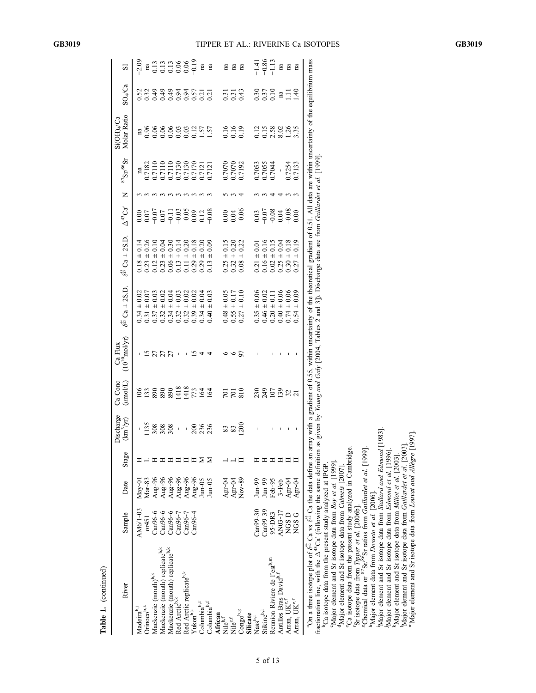Table 1. (continued)

Table 1. (continued)

| River                                                                                                                                                                                                                                                                                                                                   | Sample     | Date                                                               | Stage | Discharge<br>$(\text{km}^3/\text{yr})$ | Ca Conc<br>$(\text{mod}L)$        | $\frac{\text{Ca Flux}}{(10^{10} \text{mol/yr})}$ | $\delta^{\sharp\sharp}$ Ca $\pm$ 2S.D.                                                                                            | $\delta^{\frac{43}{45}}\,\mathrm{Ca}$ $\pm$ 2S.D.                                                                                                                                                                       | $\Delta^{43}$ Ca'                               | $\mathsf{z}$ | $^{87}\mathrm{Sr}^{86}\mathrm{Sr}$                                                                                                                  | Molar Ratio<br>$Si(OH)_{4}/Ca$                  | $\mathrm{SO}_4/\mathrm{Ca}$                                                     | 2                                                                                                                                                                                           |
|-----------------------------------------------------------------------------------------------------------------------------------------------------------------------------------------------------------------------------------------------------------------------------------------------------------------------------------------|------------|--------------------------------------------------------------------|-------|----------------------------------------|-----------------------------------|--------------------------------------------------|-----------------------------------------------------------------------------------------------------------------------------------|-------------------------------------------------------------------------------------------------------------------------------------------------------------------------------------------------------------------------|-------------------------------------------------|--------------|-----------------------------------------------------------------------------------------------------------------------------------------------------|-------------------------------------------------|---------------------------------------------------------------------------------|---------------------------------------------------------------------------------------------------------------------------------------------------------------------------------------------|
| Madeira <sup>b,</sup>                                                                                                                                                                                                                                                                                                                   | AM6/1-03   | $May-01$                                                           |       |                                        |                                   |                                                  | $\pm 0.02$<br>0.34                                                                                                                |                                                                                                                                                                                                                         |                                                 |              |                                                                                                                                                     |                                                 |                                                                                 |                                                                                                                                                                                             |
| Drinoco <sup>b,k</sup>                                                                                                                                                                                                                                                                                                                  | or451      | $Mar-83$                                                           |       |                                        |                                   |                                                  | $+ 0.07$                                                                                                                          |                                                                                                                                                                                                                         |                                                 |              |                                                                                                                                                     |                                                 |                                                                                 |                                                                                                                                                                                             |
| Aackenzie (mouth) <sup>b,k</sup>                                                                                                                                                                                                                                                                                                        | $Can96-6$  |                                                                    |       | 13888                                  | $\frac{88888727244}{22888872724}$ | <b>5555</b><br>2555                              | $+ 0.03$<br>115242229<br>000000000                                                                                                | $\begin{array}{l} 1.14 \pm 0.14 \\ 0.18 \pm 0.23 \\ 0.23 \pm 0.04 \\ 0.12 \pm 0.14 \\ 0.03 \pm 0.14 \\ 0.04 \pm 0.30 \\ 0.00 \pm 0.14 \\ 0.11 \pm 0.20 \\ 0.01 \pm 0.11 \\ 0.00 \pm 0.18 \\ 0.029 \pm 0.18 \end{array}$ | $0.55577388$<br>$0.0757798832$<br>$0.070799000$ |              | $\begin{array}{c} \mathtt{na} \\ 0.7182 \\ 0.7110 \\ 0.7110 \\ 0.7110 \\ 0.7110 \\ 0.7110 \\ 0.7130 \\ 0.7121 \\ 0.07121 \\ 0.07121 \\ \end{array}$ |                                                 |                                                                                 | $-2.09$<br>$\frac{a}{13}$<br>$\frac{a}{13}$<br>$\frac{a}{13}$<br>$\frac{a}{13}$<br>$\frac{a}{13}$<br>$\frac{a}{13}$<br>$\frac{a}{13}$<br>$\frac{a}{13}$<br>$\frac{a}{13}$<br>$\frac{a}{13}$ |
| Mackenzie (mouth) replicateb.k                                                                                                                                                                                                                                                                                                          | $Can96-6$  | Aug-96<br>Aug-96<br>Aug-96<br>Aug-96<br>Aug-96<br>Aug-96<br>Aug-05 |       |                                        |                                   |                                                  | $+ 0.02$                                                                                                                          |                                                                                                                                                                                                                         |                                                 |              |                                                                                                                                                     |                                                 |                                                                                 |                                                                                                                                                                                             |
|                                                                                                                                                                                                                                                                                                                                         | $Can96-6$  |                                                                    |       |                                        |                                   |                                                  | $+0.04$                                                                                                                           |                                                                                                                                                                                                                         |                                                 |              |                                                                                                                                                     |                                                 |                                                                                 |                                                                                                                                                                                             |
| Mackenzie (mouth) replicate <sup>b,k</sup><br>Red Arctic <sup>b,k</sup>                                                                                                                                                                                                                                                                 | $Can96-7$  |                                                                    |       | $\mathbf{I}$                           |                                   |                                                  | $\pm$ 0.03                                                                                                                        |                                                                                                                                                                                                                         |                                                 |              |                                                                                                                                                     |                                                 |                                                                                 |                                                                                                                                                                                             |
| Red Arctic replicate <sup>b,k</sup><br>Yukon <sup>b,k</sup>                                                                                                                                                                                                                                                                             | $Can96-7$  |                                                                    |       | I.                                     |                                   |                                                  | 0.02<br>$\overline{+}$                                                                                                            |                                                                                                                                                                                                                         |                                                 |              |                                                                                                                                                     |                                                 |                                                                                 |                                                                                                                                                                                             |
|                                                                                                                                                                                                                                                                                                                                         | Can96-4    |                                                                    |       |                                        |                                   |                                                  | ± 0.02                                                                                                                            |                                                                                                                                                                                                                         |                                                 |              |                                                                                                                                                     |                                                 |                                                                                 |                                                                                                                                                                                             |
| Columbia <sup>b,f</sup>                                                                                                                                                                                                                                                                                                                 |            |                                                                    | Σ     | 236<br>236                             |                                   |                                                  | $+0.04$<br>0.34                                                                                                                   | 0.20<br>$0.29 \pm 0.02$                                                                                                                                                                                                 |                                                 |              |                                                                                                                                                     |                                                 |                                                                                 |                                                                                                                                                                                             |
| Columbia <sup>b,f</sup>                                                                                                                                                                                                                                                                                                                 |            | $Jun-05$                                                           |       |                                        |                                   |                                                  | $\pm 0.03$<br>0.40                                                                                                                | 0.09<br>$\overline{+}$<br>0.13                                                                                                                                                                                          |                                                 |              |                                                                                                                                                     | m<br>0.96960000157<br>0.000000157               | 8 3 3 3 3 3 5 5 5 5<br>8 3 3 3 3 5 5 5 5 5                                      | na<br>na                                                                                                                                                                                    |
|                                                                                                                                                                                                                                                                                                                                         |            |                                                                    |       |                                        |                                   |                                                  |                                                                                                                                   |                                                                                                                                                                                                                         |                                                 |              |                                                                                                                                                     |                                                 |                                                                                 |                                                                                                                                                                                             |
| <b>African</b><br>Nile <sup>b,f</sup>                                                                                                                                                                                                                                                                                                   |            |                                                                    |       |                                        |                                   |                                                  |                                                                                                                                   | $0.25 \pm 0.15$<br>$0.32 \pm 0.20$<br>$0.08 \pm 0.22$                                                                                                                                                                   |                                                 |              |                                                                                                                                                     |                                                 | $\frac{7}{0}$ $\frac{7}{0}$ $\frac{7}{0}$                                       |                                                                                                                                                                                             |
| Nile <sup>e,f</sup>                                                                                                                                                                                                                                                                                                                     |            | $Apr-04$<br>$Apr-04$<br>$Nov-89$                                   |       | <u>အဆင</u> ္က                          | $\frac{25}{201}$                  | ७                                                | $0.48 \pm 0.05$<br>0.55 ± 0.17<br>0.27 ± 0.10                                                                                     |                                                                                                                                                                                                                         |                                                 |              | 0.7070<br>0.7070<br>0.7192                                                                                                                          | $\begin{array}{c} 16 \\ 16 \\ 0.19 \end{array}$ |                                                                                 | E E E                                                                                                                                                                                       |
| Congo <sup>b,g</sup><br>Silicate                                                                                                                                                                                                                                                                                                        |            |                                                                    | ᄑ     |                                        |                                   | 57                                               |                                                                                                                                   |                                                                                                                                                                                                                         |                                                 |              |                                                                                                                                                     |                                                 |                                                                                 |                                                                                                                                                                                             |
|                                                                                                                                                                                                                                                                                                                                         |            |                                                                    |       |                                        |                                   |                                                  |                                                                                                                                   |                                                                                                                                                                                                                         |                                                 |              |                                                                                                                                                     |                                                 |                                                                                 |                                                                                                                                                                                             |
| Nass <sup>b,1</sup>                                                                                                                                                                                                                                                                                                                     | $Can99-30$ | $Jun-99$                                                           |       |                                        |                                   |                                                  | $\begin{array}{c} 0.35 \pm 0.06 \\ 0.46 \pm 0.02 \\ 0.20 \pm 0.11 \\ 0.40 \pm 0.06 \\ 0.40 \pm 0.06 \\ 0.74 \pm 0.06 \end{array}$ | $\begin{array}{c} 0.21\pm 0.01\\ 0.16\pm 0.16\\ 0.02\pm 0.15\\ 0.25\pm 0.04\\ 0.25\pm 0.04\\ 0.30\pm 0.18 \end{array}$                                                                                                  |                                                 |              | 0.7053<br>0.7055<br>0.7044                                                                                                                          |                                                 |                                                                                 | $-1.41$<br>$-9.86$<br>$-1.13$                                                                                                                                                               |
| Stikine <sup>b,1</sup>                                                                                                                                                                                                                                                                                                                  | Can99-39   | $Jun-99$                                                           |       |                                        |                                   |                                                  |                                                                                                                                   |                                                                                                                                                                                                                         |                                                 |              |                                                                                                                                                     |                                                 |                                                                                 |                                                                                                                                                                                             |
| Reunion Riviere de l'est <sup>b,m</sup>                                                                                                                                                                                                                                                                                                 | 95-DR3     | Feb-95                                                             |       |                                        |                                   |                                                  |                                                                                                                                   |                                                                                                                                                                                                                         |                                                 |              |                                                                                                                                                     |                                                 |                                                                                 |                                                                                                                                                                                             |
| Antilles Bras David <sup>b,1</sup><br>Arran, UK <sup>e,f</sup>                                                                                                                                                                                                                                                                          | AN03-17    | $3-Feb$                                                            |       |                                        |                                   |                                                  |                                                                                                                                   |                                                                                                                                                                                                                         |                                                 |              | $\overline{1}$                                                                                                                                      |                                                 |                                                                                 | na                                                                                                                                                                                          |
|                                                                                                                                                                                                                                                                                                                                         | NGS D      | $Apr-04$<br>Apr-04                                                 |       |                                        | 2325227                           |                                                  |                                                                                                                                   |                                                                                                                                                                                                                         |                                                 |              | 0.7254<br>0.7133                                                                                                                                    | 21588285                                        | $\frac{30}{30}$ $\frac{37}{30}$ $\frac{30}{11}$ $\frac{30}{11}$ $\frac{30}{11}$ | na                                                                                                                                                                                          |
| Arran, $\mathrm{UK}^{\mathrm{e,f}}$                                                                                                                                                                                                                                                                                                     | NGS G      |                                                                    |       |                                        |                                   |                                                  | 0.09<br>$\overline{+}$<br>0.54                                                                                                    | 0.19<br>$+$<br>0.27                                                                                                                                                                                                     |                                                 |              |                                                                                                                                                     |                                                 |                                                                                 | na                                                                                                                                                                                          |
| <sup>3</sup> On a three isotope plot of $\delta^{\sharp}$ Ca vs $\delta^{\sharp}$ Ca the data define an array with a gradient of 0.55, within uncertainty of the theoretical gradient of 0.51. All data are within uncertainty of the equilibrium mass<br>fractionation line, with the $\Delta^{43}$ Ca' (following the same definition |            |                                                                    |       |                                        |                                   |                                                  |                                                                                                                                   | as given by Young and Galy 12004. Tables 2 and 31. Discharge data are from Gaillardet et al. [199]                                                                                                                      |                                                 |              |                                                                                                                                                     |                                                 |                                                                                 |                                                                                                                                                                                             |

|                                                                                                                                                              | 10001                                                                                                                             |                                          |
|--------------------------------------------------------------------------------------------------------------------------------------------------------------|-----------------------------------------------------------------------------------------------------------------------------------|------------------------------------------|
|                                                                                                                                                              |                                                                                                                                   |                                          |
|                                                                                                                                                              |                                                                                                                                   |                                          |
|                                                                                                                                                              |                                                                                                                                   |                                          |
| $\frac{\pi}{6}$ Ca the data define an array with a gradient of 0.55, within uncertainty of the theoretical gradient of 0.51. All data are within uncertainty | wing the same definition as given by Young and $Galy$ [2004, Tables 2 and 3]). Discharge data are from <i>Gaillardet et al.</i> 1 |                                          |
|                                                                                                                                                              |                                                                                                                                   |                                          |
|                                                                                                                                                              |                                                                                                                                   |                                          |
|                                                                                                                                                              |                                                                                                                                   | y analyzed at IPGP.                      |
|                                                                                                                                                              |                                                                                                                                   |                                          |
|                                                                                                                                                              | בו שוני בו                                                                                                                        |                                          |
|                                                                                                                                                              | ractionation line unth the                                                                                                        | n icht der Henrichte in der<br>y<br>Suus |

CMajor element and Sr isotope data from Roy et al. [1999].<br><sup>d</sup>Major element and Sr isotope data from Calmels [2007].<br>Ca isotope data from the present study analyzed in Cambridge.

Najor element and Sr isotope data from *Rop et al.* [1999].<br>
Salgor element and Sr isotope data from *Rop et al.* [1999].<br>
Sa isotope data from *Tipper et al.* [2006b].<br>
Se isotope data from *Tipper et al.* [2006b].<br>
Se i

mMajor element and Sr isotope data from Louvat and Allègre [1997].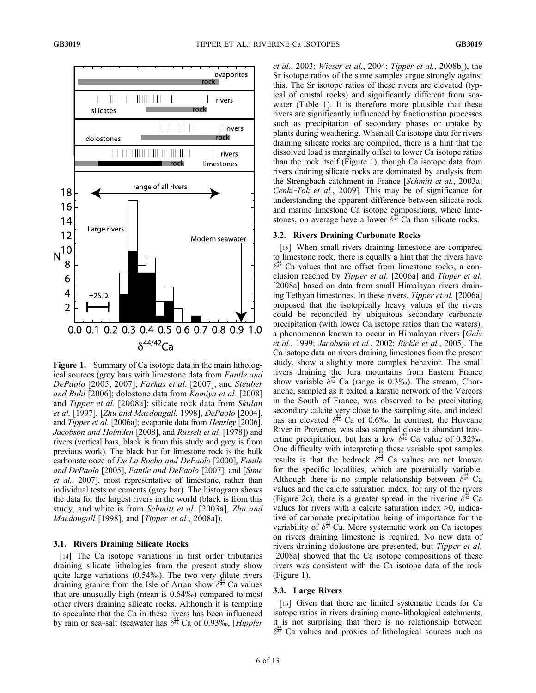

Figure 1. Summary of Ca isotope data in the main lithological sources (grey bars with limestone data from Fantle and DePaolo [2005, 2007], Farkas et al. [2007], and Steuber and Buhl [2006]; dolostone data from Komiya et al. [2008] and Tipper et al. [2008a]; silicate rock data from Skulan et al. [1997], [Zhu and Macdougall, 1998], DePaolo [2004], and Tipper et al. [2006a]; evaporite data from Hensley [2006], Jacobson and Holmden [2008], and Russell et al. [1978]) and rivers (vertical bars, black is from this study and grey is from previous work). The black bar for limestone rock is the bulk carbonate ooze of De La Rocha and DePaolo [2000], Fantle and DePaolo [2005], Fantle and DePaolo [2007], and [Sime et al., 2007], most representative of limestone, rather than individual tests or cements (grey bar). The histogram shows the data for the largest rivers in the world (black is from this study, and white is from Schmitt et al. [2003a], Zhu and Macdougall [1998], and [Tipper et al., 2008a]).

#### 3.1. Rivers Draining Silicate Rocks

[14] The Ca isotope variations in first order tributaries draining silicate lithologies from the present study show quite large variations (0.54‰). The two very dilute rivers draining granite from the Isle of Arran show  $\delta^{\frac{44}{42}}$  Ca values that are unusually high (mean is 0.64‰) compared to most other rivers draining silicate rocks. Although it is tempting to speculate that the Ca in these rivers has been influenced by rain or sea-salt (seawater has  $\delta^{\frac{44}{42}}$  Ca of 0.93‰, [Hippler]

et al., 2003; Wieser et al., 2004; Tipper et al., 2008b]), the Sr isotope ratios of the same samples argue strongly against this. The Sr isotope ratios of these rivers are elevated (typical of crustal rocks) and significantly different from seawater (Table 1). It is therefore more plausible that these rivers are significantly influenced by fractionation processes such as precipitation of secondary phases or uptake by plants during weathering. When all Ca isotope data for rivers draining silicate rocks are compiled, there is a hint that the dissolved load is marginally offset to lower Ca isotope ratios than the rock itself (Figure 1), though Ca isotope data from rivers draining silicate rocks are dominated by analysis from the Strengbach catchment in France [Schmitt et al., 2003a; Cenki-Tok et al., 2009]. This may be of significance for understanding the apparent difference between silicate rock and marine limestone Ca isotope compositions, where limestones, on average have a lower  $\delta^{\frac{44}{42}}$  Ca than silicate rocks.

#### 3.2. Rivers Draining Carbonate Rocks

[15] When small rivers draining limestone are compared to limestone rock, there is equally a hint that the rivers have  $\delta^{\frac{44}{42}}$  Ca values that are offset from limestone rocks, a conclusion reached by Tipper et al. [2006a] and Tipper et al. [2008a] based on data from small Himalayan rivers draining Tethyan limestones. In these rivers, Tipper et al. [2006a] proposed that the isotopically heavy values of the rivers could be reconciled by ubiquitous secondary carbonate precipitation (with lower Ca isotope ratios than the waters), a phenomenon known to occur in Himalayan rivers [Galy et al., 1999; Jacobson et al., 2002; Bickle et al., 2005]. The Ca isotope data on rivers draining limestones from the present study, show a slightly more complex behavior. The small rivers draining the Jura mountains from Eastern France show variable  $\delta^{\frac{44}{42}}$  Ca (range is 0.3‰). The stream, Choranche, sampled as it exited a karstic network of the Vercors in the South of France, was observed to be precipitating secondary calcite very close to the sampling site, and indeed has an elevated  $\delta^{\frac{44}{42}}$  Ca of 0.6‰. In contrast, the Huveane River in Provence, was also sampled close to abundant travertine precipitation, but has a low  $\delta^{\frac{4}{42}}$  Ca value of 0.32‰. One difficulty with interpreting these variable spot samples results is that the bedrock  $\delta^{\frac{4}{42}}$  Ca values are not known for the specific localities, which are potentially variable. Although there is no simple relationship between  $\delta^{\frac{44}{42}}$  Ca values and the calcite saturation index, for any of the rivers (Figure 2c), there is a greater spread in the riverine  $\delta^{\frac{44}{92}}$  Ca values for rivers with a calcite saturation index >0, indicative of carbonate precipitation being of importance for the variability of  $\delta^{\frac{3}{42}}$  Ca. More systematic work on Ca isotopes on rivers draining limestone is required. No new data of rivers draining dolostone are presented, but *Tipper et al.* [2008a] showed that the Ca isotope compositions of these rivers was consistent with the Ca isotope data of the rock (Figure 1).

#### 3.3. Large Rivers

[16] Given that there are limited systematic trends for Ca isotope ratios in rivers draining mono‐lithological catchments, it is not surprising that there is no relationship between  $\delta^{\frac{44}{62}}$  Ca values and proxies of lithological sources such as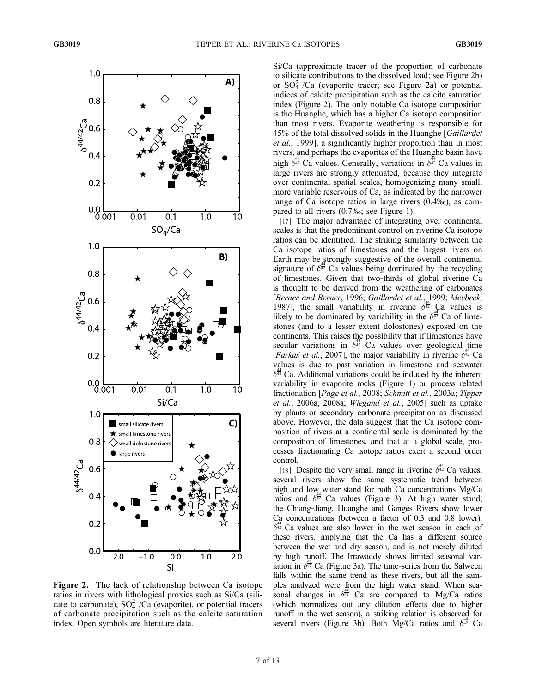

Figure 2. The lack of relationship between Ca isotope ratios in rivers with lithological proxies such as Si/Ca (silicate to carbonate),  $SO_4^{2-}/\overline{Ca}$  (evaporite), or potential tracers of carbonate precipitation such as the calcite saturation index. Open symbols are literature data.

Si/Ca (approximate tracer of the proportion of carbonate to silicate contributions to the dissolved load; see Figure 2b) or SO4 2− /Ca (evaporite tracer; see Figure 2a) or potential indices of calcite precipitation such as the calcite saturation index (Figure 2). The only notable Ca isotope composition is the Huanghe, which has a higher Ca isotope composition than most rivers. Evaporite weathering is responsible for 45% of the total dissolved solids in the Huanghe [Gaillardet et al., 1999], a significantly higher proportion than in most rivers, and perhaps the evaporites of the Huanghe basin have high  $\delta^{\frac{44}{42}}$  Ca values. Generally, variations in  $\delta^{\frac{54}{42}}$  Ca values in large rivers are strongly attenuated, because they integrate over continental spatial scales, homogenizing many small, more variable reservoirs of Ca, as indicated by the narrower range of Ca isotope ratios in large rivers (0.4‰), as compared to all rivers (0.7‰; see Figure 1).

[17] The major advantage of integrating over continental scales is that the predominant control on riverine Ca isotope ratios can be identified. The striking similarity between the Ca isotope ratios of limestones and the largest rivers on Earth may be strongly suggestive of the overall continental signature of  $\delta^{\frac{44}{42}}$  Ca values being dominated by the recycling of limestones. Given that two‐thirds of global riverine Ca is thought to be derived from the weathering of carbonates [Berner and Berner, 1996; Gaillardet et al., 1999; Meybeck, 1987], the small variability in riverine  $\delta^{\frac{44}{42}}$  Ca values is likely to be dominated by variability in the  $\delta^{\frac{44}{42}}$  Ca of limestones (and to a lesser extent dolostones) exposed on the continents. This raises the possibility that if limestones have secular variations in  $\delta^{\frac{44}{42}}$  Ca values over geological time [Farkas et al., 2007], the major variability in riverine  $\delta^{\frac{44}{12}}$  Ca values is due to past variation in limestone and seawater  $\delta^{\frac{34}{42}}$  Ca. Additional variations could be induced by the inherent variability in evaporite rocks (Figure 1) or process related fractionation [Page et al., 2008; Schmitt et al., 2003a; Tipper et al., 2006a, 2008a; Wiegand et al., 2005] such as uptake by plants or secondary carbonate precipitation as discussed above. However, the data suggest that the Ca isotope composition of rivers at a continental scale is dominated by the composition of limestones, and that at a global scale, processes fractionating Ca isotope ratios exert a second order control.

[18] Despite the very small range in riverine  $\delta^{\frac{44}{42}}$  Ca values, several rivers show the same systematic trend between high and low water stand for both Ca concentrations Mg/Ca ratios and  $\delta^{\frac{44}{42}}$  Ca values (Figure 3). At high water stand, the Chiang‐Jiang, Huanghe and Ganges Rivers show lower Ca concentrations (between a factor of 0.3 and 0.8 lower).  $\delta^{\frac{44}{42}}$  Ca values are also lower in the wet season in each of these rivers, implying that the Ca has a different source between the wet and dry season, and is not merely diluted by high runoff. The Irrawaddy shows limited seasonal variation in  $\delta^{\frac{34}{42}}$  Ca (Figure 3a). The time-series from the Salween falls within the same trend as these rivers, but all the samples analyzed were from the high water stand. When seasonal changes in  $\delta^{\frac{44}{42}}$  Ca are compared to Mg/Ca ratios (which normalizes out any dilution effects due to higher runoff in the wet season), a striking relation is observed for several rivers (Figure 3b). Both Mg/Ca ratios and  $\delta^{\frac{44}{42}}$  Ca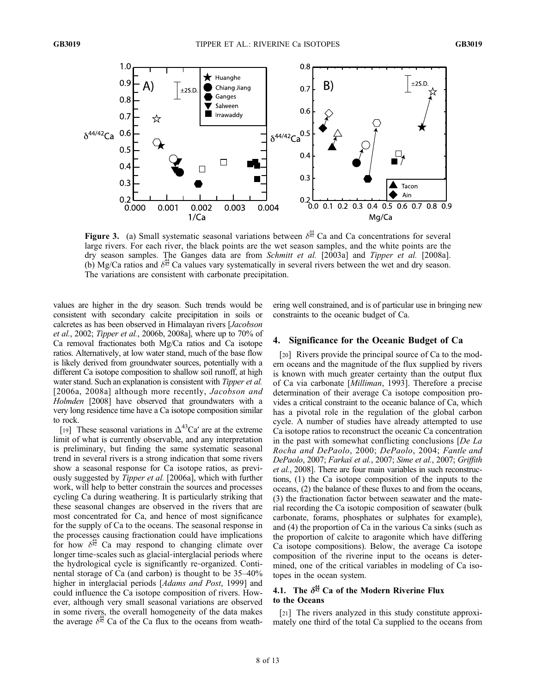

**Figure 3.** (a) Small systematic seasonal variations between  $\delta^{\frac{44}{42}}$  Ca and Ca concentrations for several large rivers. For each river, the black points are the wet season samples, and the white points are the dry season samples. The Ganges data are from Schmitt et al. [2003a] and Tipper et al. [2008a]. (b) Mg/Ca ratios and  $\delta^{\frac{44}{42}}$  Ca values vary systematically in several rivers between the wet and dry season. The variations are consistent with carbonate precipitation.

values are higher in the dry season. Such trends would be consistent with secondary calcite precipitation in soils or calcretes as has been observed in Himalayan rivers [Jacobson et al., 2002; Tipper et al., 2006b, 2008a], where up to 70% of Ca removal fractionates both Mg/Ca ratios and Ca isotope ratios. Alternatively, at low water stand, much of the base flow is likely derived from groundwater sources, potentially with a different Ca isotope composition to shallow soil runoff, at high water stand. Such an explanation is consistent with *Tipper et al.* [2006a, 2008a] although more recently, *Jacobson and* Holmden [2008] have observed that groundwaters with a very long residence time have a Ca isotope composition similar to rock.

[19] These seasonal variations in  $\Delta^{43}$ Ca' are at the extreme limit of what is currently observable, and any interpretation is preliminary, but finding the same systematic seasonal trend in several rivers is a strong indication that some rivers show a seasonal response for Ca isotope ratios, as previously suggested by Tipper et al. [2006a], which with further work, will help to better constrain the sources and processes cycling Ca during weathering. It is particularly striking that these seasonal changes are observed in the rivers that are most concentrated for Ca, and hence of most significance for the supply of Ca to the oceans. The seasonal response in the processes causing fractionation could have implications for how  $\delta^{\frac{44}{42}}$  Ca may respond to changing climate over longer time‐scales such as glacial‐interglacial periods where the hydrological cycle is significantly re‐organized. Continental storage of Ca (and carbon) is thought to be 35–40% higher in interglacial periods [Adams and Post, 1999] and could influence the Ca isotope composition of rivers. However, although very small seasonal variations are observed in some rivers, the overall homogeneity of the data makes the average  $\delta^{\frac{4}{42}}$  Ca of the Ca flux to the oceans from weathering well constrained, and is of particular use in bringing new constraints to the oceanic budget of Ca.

#### 4. Significance for the Oceanic Budget of Ca

[20] Rivers provide the principal source of Ca to the modern oceans and the magnitude of the flux supplied by rivers is known with much greater certainty than the output flux of Ca via carbonate [Milliman, 1993]. Therefore a precise determination of their average Ca isotope composition provides a critical constraint to the oceanic balance of Ca, which has a pivotal role in the regulation of the global carbon cycle. A number of studies have already attempted to use Ca isotope ratios to reconstruct the oceanic Ca concentration in the past with somewhat conflicting conclusions [De La Rocha and DePaolo, 2000; DePaolo, 2004; Fantle and DePaolo, 2007; Farkas et al., 2007; Sime et al., 2007; Griffith et al., 2008]. There are four main variables in such reconstructions, (1) the Ca isotope composition of the inputs to the oceans, (2) the balance of these fluxes to and from the oceans, (3) the fractionation factor between seawater and the material recording the Ca isotopic composition of seawater (bulk carbonate, forams, phosphates or sulphates for example), and (4) the proportion of Ca in the various Ca sinks (such as the proportion of calcite to aragonite which have differing Ca isotope compositions). Below, the average Ca isotope composition of the riverine input to the oceans is determined, one of the critical variables in modeling of Ca isotopes in the ocean system.

### 4.1. The  $\delta^{\frac{44}{42}}$  Ca of the Modern Riverine Flux to the Oceans

[21] The rivers analyzed in this study constitute approximately one third of the total Ca supplied to the oceans from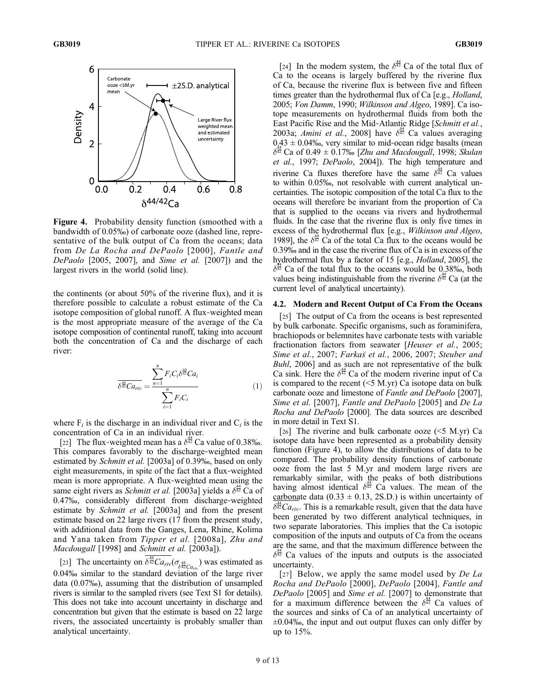

Figure 4. Probability density function (smoothed with a bandwidth of 0.05‰) of carbonate ooze (dashed line, representative of the bulk output of Ca from the oceans; data from De La Rocha and DePaolo [2000], Fantle and DePaolo [2005, 2007], and Sime et al. [2007]) and the largest rivers in the world (solid line).

the continents (or about 50% of the riverine flux), and it is therefore possible to calculate a robust estimate of the Ca isotope composition of global runoff. A flux‐weighted mean is the most appropriate measure of the average of the Ca isotope composition of continental runoff, taking into account both the concentration of Ca and the discharge of each river:

$$
\frac{\sum_{i=1}^{n} F_i C_i \delta^{\frac{44}{42}} C a_i}{\sum_{i=1}^{n} F_i C_i}
$$
\n(1)

where  $F_i$  is the discharge in an individual river and  $C_i$  is the concentration of Ca in an individual river.

[22] The flux-weighted mean has a  $\delta^{\frac{44}{92}}$  Ca value of 0.38‰. This compares favorably to the discharge-weighted mean estimated by Schmitt et al. [2003a] of 0.39‰, based on only eight measurements, in spite of the fact that a flux‐weighted mean is more appropriate. A flux‐weighted mean using the same eight rivers as *Schmitt et al.* [2003a] yields a  $\delta^{\frac{44}{42}}$  Ca of 0.47‰, considerably different from discharge‐weighted estimate by *Schmitt et al.* [2003a] and from the present estimate based on 22 large rivers (17 from the present study, with additional data from the Ganges, Lena, Rhine, Kolima and Yana taken from Tipper et al. [2008a], Zhu and Macdougall [1998] and Schmitt et al. [2003a]).

[23] The uncertainty on  $\delta^{\frac{44}{42}}Ca_{riv}(\sigma_{\delta^{\frac{44}{42}}Ca_{riv}})$  was estimated as 0.04‰ similar to the standard deviation of the large river data (0.07‰), assuming that the distribution of unsampled rivers is similar to the sampled rivers (see Text S1 for details). This does not take into account uncertainty in discharge and concentration but given that the estimate is based on 22 large rivers, the associated uncertainty is probably smaller than analytical uncertainty.

[24] In the modern system, the  $\delta^{\frac{44}{42}}$  Ca of the total flux of Ca to the oceans is largely buffered by the riverine flux of Ca, because the riverine flux is between five and fifteen times greater than the hydrothermal flux of Ca [e.g., *Holland*, 2005; Von Damm, 1990; Wilkinson and Algeo, 1989]. Ca isotope measurements on hydrothermal fluids from both the East Pacific Rise and the Mid‐Atlantic Ridge [Schmitt et al., 2003a; *Amini et al.*, 2008] have  $\delta^{\frac{44}{32}}$  Ca values averaging  $0.43 \pm 0.04\%$ , very similar to mid-ocean ridge basalts (mean  $\delta^{\frac{34}{42}}$  Ca of 0.49  $\pm$  0.17‰ [*Zhu and Macdougall*, 1998; *Skulan* et al., 1997; DePaolo, 2004]). The high temperature and riverine Ca fluxes therefore have the same  $\delta^{\frac{4}{42}}$  Ca values to within 0.05‰, not resolvable with current analytical uncertainties. The isotopic composition of the total Ca flux to the oceans will therefore be invariant from the proportion of Ca that is supplied to the oceans via rivers and hydrothermal fluids. In the case that the riverine flux is only five times in excess of the hydrothermal flux [e.g., Wilkinson and Algeo, 1989], the  $\delta^{\frac{44}{42}}$  Ca of the total Ca flux to the oceans would be 0.39‰ and in the case the riverine flux of Ca is in excess of the hydrothermal flux by a factor of 15 [e.g., Holland, 2005], the  $\delta^{\frac{1}{42}}$  Ca of the total flux to the oceans would be 0.38‰, both values being indistinguishable from the riverine  $\delta^{\frac{44}{42}}$  Ca (at the current level of analytical uncertainty).

#### 4.2. Modern and Recent Output of Ca From the Oceans

[25] The output of Ca from the oceans is best represented by bulk carbonate. Specific organisms, such as foraminifera, brachiopods or belemnites have carbonate tests with variable fractionation factors from seawater [Heuser et al., 2005; Sime et al., 2007; Farkas et al., 2006, 2007; Steuber and Buhl, 2006] and as such are not representative of the bulk Ca sink. Here the  $\delta^{\frac{44}{42}}$  Ca of the modern riverine input of Ca is compared to the recent  $(<5 M.yr)$  Ca isotope data on bulk carbonate ooze and limestone of Fantle and DePaolo [2007], Sime et al. [2007], Fantle and DePaolo [2005] and De La Rocha and DePaolo [2000]. The data sources are described in more detail in Text S1.

[26] The riverine and bulk carbonate ooze  $(<5$  M.yr) Ca isotope data have been represented as a probability density function (Figure 4), to allow the distributions of data to be compared. The probability density functions of carbonate ooze from the last 5 M.yr and modern large rivers are remarkably similar, with the peaks of both distributions having almost identical  $\delta^{\frac{44}{42}}$  Ca values. The mean of the carbonate data (0.33  $\pm$  0.13, 2S.D.) is within uncertainty of  $\delta^{44}_{42}Ca_{\text{riv}}$ . This is a remarkable result, given that the data have been generated by two different analytical techniques, in two separate laboratories. This implies that the Ca isotopic composition of the inputs and outputs of Ca from the oceans are the same, and that the maximum difference between the  $\delta^{\frac{44}{42}}$  Ca values of the inputs and outputs is the associated uncertainty.

[27] Below, we apply the same model used by  $De La$ Rocha and DePaolo [2000], DePaolo [2004], Fantle and DePaolo [2005] and Sime et al. [2007] to demonstrate that for a maximum difference between the  $\delta^{\frac{44}{42}}$  Ca values of the sources and sinks of Ca of an analytical uncertainty of  $\pm 0.04\%$ , the input and out output fluxes can only differ by up to  $15%$ .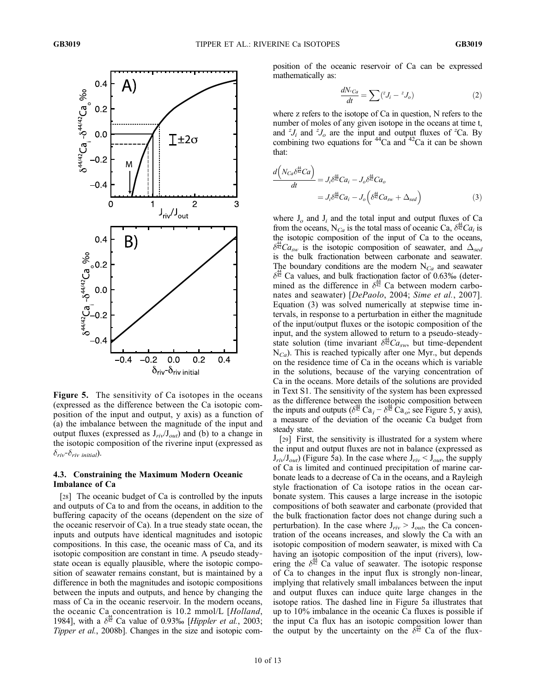

Figure 5. The sensitivity of Ca isotopes in the oceans (expressed as the difference between the Ca isotopic composition of the input and output, y axis) as a function of (a) the imbalance between the magnitude of the input and output fluxes (expressed as  $J_{\text{riv}}/J_{\text{out}}$ ) and (b) to a change in the isotopic composition of the riverine input (expressed as  $\delta_{\dot{r}iv}$ – $\delta_{\dot{r}iv}$  initial).

#### 4.3. Constraining the Maximum Modern Oceanic Imbalance of Ca

[28] The oceanic budget of Ca is controlled by the inputs and outputs of Ca to and from the oceans, in addition to the buffering capacity of the oceans (dependent on the size of the oceanic reservoir of Ca). In a true steady state ocean, the inputs and outputs have identical magnitudes and isotopic compositions. In this case, the oceanic mass of Ca, and its isotopic composition are constant in time. A pseudo steady‐ state ocean is equally plausible, where the isotopic composition of seawater remains constant, but is maintained by a difference in both the magnitudes and isotopic compositions between the inputs and outputs, and hence by changing the mass of Ca in the oceanic reservoir. In the modern oceans, the oceanic Ca concentration is 10.2 mmol/L [Holland, 1984], with a  $\delta^{\frac{44}{12}}$  Ca value of 0.93‰ [*Hippler et al.*, 2003; Tipper et al., 2008b]. Changes in the size and isotopic composition of the oceanic reservoir of Ca can be expressed mathematically as:

$$
\frac{dN_{^zCa}}{dt} = \sum_{i} (^{z}J_i - ^{z}J_o)
$$
 (2)

where z refers to the isotope of Ca in question, N refers to the number of moles of any given isotope in the oceans at time t, and  $^{z}J_{i}$  and  $^{z}J_{o}$  are the input and output fluxes of <sup>z</sup>Ca. By combining two equations for  $44$ Ca and  $42$ Ca it can be shown that:

$$
\frac{d\left(N_{Ca}\delta^{\frac{44}{42}}Ca\right)}{dt} = J_i \delta^{\frac{44}{42}} Ca_i - J_o \delta^{\frac{44}{42}} Ca_o
$$
\n
$$
= J_i \delta^{\frac{44}{42}} Ca_i - J_o \left(\delta^{\frac{44}{42}} Ca_{sw} + \Delta_{sed}\right)
$$
\n(3)

where  $J_0$  and  $J_i$  and the total input and output fluxes of Ca from the oceans, N<sub>Ca</sub> is the total mass of oceanic Ca,  $\delta^{\frac{44}{42}}Ca_i$  is the isotopic composition of the input of Ca to the oceans,  $\delta^{\frac{44}{42}}Ca_{sw}$  is the isotopic composition of seawater, and  $\Delta_{sed}$ is the bulk fractionation between carbonate and seawater. The boundary conditions are the modern  $N_{Ca}$  and seawater  $\delta^{\frac{44}{42}}$  Ca values, and bulk fractionation factor of 0.63‰ (determined as the difference in  $\delta^{\frac{44}{42}}$  Ca between modern carbonates and seawater) [DePaolo, 2004; Sime et al., 2007]. Equation (3) was solved numerically at stepwise time intervals, in response to a perturbation in either the magnitude of the input/output fluxes or the isotopic composition of the input, and the system allowed to return to a pseudo‐steady‐ state solution (time invariant  $\delta^{\frac{44}{42}}Ca_{sw}$ , but time-dependent  $N_{Ca}$ ). This is reached typically after one Myr., but depends on the residence time of Ca in the oceans which is variable in the solutions, because of the varying concentration of Ca in the oceans. More details of the solutions are provided in Text S1. The sensitivity of the system has been expressed as the difference between the isotopic composition between the inputs and outputs  $(\delta^{\frac{44}{42}} Ca_i - \delta^{\frac{44}{42}} Ca_i)$ ; see Figure 5, y axis), a measure of the deviation of the oceanic Ca budget from steady state.

[29] First, the sensitivity is illustrated for a system where the input and output fluxes are not in balance (expressed as  $J_{\text{riv}}/J_{\text{out}}$ ) (Figure 5a). In the case where  $J_{\text{riv}} < J_{\text{out}}$ , the supply of Ca is limited and continued precipitation of marine carbonate leads to a decrease of Ca in the oceans, and a Rayleigh style fractionation of Ca isotope ratios in the ocean carbonate system. This causes a large increase in the isotopic compositions of both seawater and carbonate (provided that the bulk fractionation factor does not change during such a perturbation). In the case where  $J_{riv} > J_{out}$ , the Ca concentration of the oceans increases, and slowly the Ca with an isotopic composition of modern seawater, is mixed with Ca having an isotopic composition of the input (rivers), lowering the  $\delta^{\frac{44}{42}}$  Ca value of seawater. The isotopic response of Ca to changes in the input flux is strongly non‐linear, implying that relatively small imbalances between the input and output fluxes can induce quite large changes in the isotope ratios. The dashed line in Figure 5a illustrates that up to 10% imbalance in the oceanic Ca fluxes is possible if the input Ca flux has an isotopic composition lower than the output by the uncertainty on the  $\delta^{\frac{44}{42}}$  Ca of the flux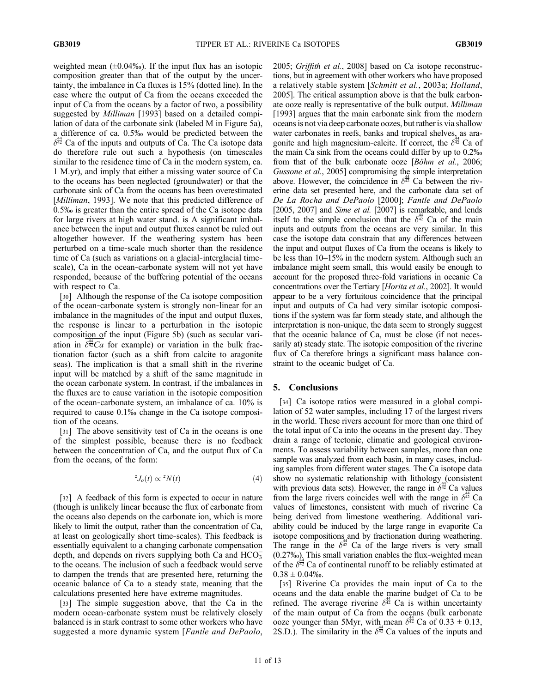weighted mean  $(\pm 0.04\%)$ . If the input flux has an isotopic composition greater than that of the output by the uncertainty, the imbalance in Ca fluxes is 15% (dotted line). In the case where the output of Ca from the oceans exceeded the input of Ca from the oceans by a factor of two, a possibility suggested by Milliman [1993] based on a detailed compilation of data of the carbonate sink (labeled M in Figure 5a), a difference of ca. 0.5‰ would be predicted between the  $\delta^{\frac{44}{42}}$  Ca of the inputs and outputs of Ca. The Ca isotope data do therefore rule out such a hypothesis (on timescales similar to the residence time of Ca in the modern system, ca. 1 M.yr), and imply that either a missing water source of Ca to the oceans has been neglected (groundwater) or that the carbonate sink of Ca from the oceans has been overestimated [*Milliman*, 1993]. We note that this predicted difference of 0.5‰ is greater than the entire spread of the Ca isotope data for large rivers at high water stand. is A significant imbalance between the input and output fluxes cannot be ruled out altogether however. If the weathering system has been perturbed on a time‐scale much shorter than the residence time of Ca (such as variations on a glacial‐interglacial time‐ scale), Ca in the ocean-carbonate system will not yet have responded, because of the buffering potential of the oceans with respect to Ca.

[30] Although the response of the Ca isotope composition of the ocean‐carbonate system is strongly non‐linear for an imbalance in the magnitudes of the input and output fluxes, the response is linear to a perturbation in the isotopic composition of the input (Figure 5b) (such as secular variation in  $\delta^{\frac{44}{42}}Ca$  for example) or variation in the bulk fractionation factor (such as a shift from calcite to aragonite seas). The implication is that a small shift in the riverine input will be matched by a shift of the same magnitude in the ocean carbonate system. In contrast, if the imbalances in the fluxes are to cause variation in the isotopic composition of the ocean‐carbonate system, an imbalance of ca. 10% is required to cause 0.1‰ change in the Ca isotope composition of the oceans.

[31] The above sensitivity test of Ca in the oceans is one of the simplest possible, because there is no feedback between the concentration of Ca, and the output flux of Ca from the oceans, of the form:

$$
{}^{z}J_{o}(t) \propto {}^{z}N(t) \tag{4}
$$

[32] A feedback of this form is expected to occur in nature (though is unlikely linear because the flux of carbonate from the oceans also depends on the carbonate ion, which is more likely to limit the output, rather than the concentration of Ca, at least on geologically short time‐scales). This feedback is essentially equivalent to a changing carbonate compensation depth, and depends on rivers supplying both Ca and  $HCO<sub>3</sub>$ to the oceans. The inclusion of such a feedback would serve to dampen the trends that are presented here, returning the oceanic balance of Ca to a steady state, meaning that the calculations presented here have extreme magnitudes.

[33] The simple suggestion above, that the Ca in the modern ocean‐carbonate system must be relatively closely balanced is in stark contrast to some other workers who have suggested a more dynamic system [Fantle and DePaolo,

2005; Griffith et al., 2008] based on Ca isotope reconstructions, but in agreement with other workers who have proposed a relatively stable system [Schmitt et al., 2003a; Holland, 2005]. The critical assumption above is that the bulk carbonate ooze really is representative of the bulk output. Milliman [1993] argues that the main carbonate sink from the modern oceans is not via deep carbonate oozes, but rather is via shallow water carbonates in reefs, banks and tropical shelves, as aragonite and high magnesium-calcite. If correct, the  $\delta^{\frac{44}{42}}$  Ca of the main Ca sink from the oceans could differ by up to 0.2‰ from that of the bulk carbonate ooze [Böhm et al., 2006; Gussone et al., 2005] compromising the simple interpretation above. However, the coincidence in  $\delta^{\frac{44}{42}}$  Ca between the riverine data set presented here, and the carbonate data set of De La Rocha and DePaolo [2000]; Fantle and DePaolo [2005, 2007] and *Sime et al.* [2007] is remarkable, and lends itself to the simple conclusion that the  $\delta^{\frac{44}{42}}$  Ca of the main inputs and outputs from the oceans are very similar. In this case the isotope data constrain that any differences between the input and output fluxes of Ca from the oceans is likely to be less than 10–15% in the modern system. Although such an imbalance might seem small, this would easily be enough to account for the proposed three‐fold variations in oceanic Ca concentrations over the Tertiary [Horita et al., 2002]. It would appear to be a very fortuitous coincidence that the principal input and outputs of Ca had very similar isotopic compositions if the system was far form steady state, and although the interpretation is non-unique, the data seem to strongly suggest that the oceanic balance of Ca, must be close (if not necessarily at) steady state. The isotopic composition of the riverine flux of Ca therefore brings a significant mass balance constraint to the oceanic budget of Ca.

#### 5. Conclusions

[34] Ca isotope ratios were measured in a global compilation of 52 water samples, including 17 of the largest rivers in the world. These rivers account for more than one third of the total input of Ca into the oceans in the present day. They drain a range of tectonic, climatic and geological environments. To assess variability between samples, more than one sample was analyzed from each basin, in many cases, including samples from different water stages. The Ca isotope data show no systematic relationship with lithology (consistent with previous data sets). However, the range in  $\delta^{\frac{44}{42}}$  Ca values from the large rivers coincides well with the range in  $\delta^{\frac{44}{42}}$  Ca values of limestones, consistent with much of riverine Ca being derived from limestone weathering. Additional variability could be induced by the large range in evaporite Ca isotope compositions and by fractionation during weathering. The range in the  $\delta^{\frac{44}{42}}$  Ca of the large rivers is very small (0.27‰). This small variation enables the flux‐weighted mean of the  $\delta^{\frac{3}{42}}$  Ca of continental runoff to be reliably estimated at  $0.38 \pm 0.04\%$ .

[35] Riverine Ca provides the main input of Ca to the oceans and the data enable the marine budget of Ca to be refined. The average riverine  $\delta^{\frac{44}{42}}$  Ca is within uncertainty of the main output of Ca from the oceans (bulk carbonate ooze younger than 5Myr, with mean  $\delta^{\frac{4}{42}}$  Ca of 0.33  $\pm$  0.13, 2S.D.). The similarity in the  $\delta^{\frac{44}{42}}$  Ca values of the inputs and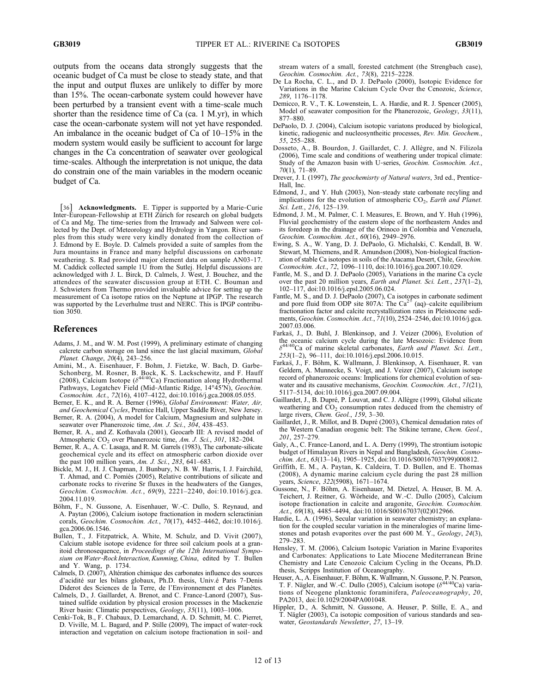outputs from the oceans data strongly suggests that the oceanic budget of Ca must be close to steady state, and that the input and output fluxes are unlikely to differ by more than 15%. The ocean‐carbonate system could however have been perturbed by a transient event with a time-scale much shorter than the residence time of Ca (ca. 1 M.yr), in which case the ocean‐carbonate system will not yet have responded. An imbalance in the oceanic budget of Ca of 10–15% in the modern system would easily be sufficient to account for large changes in the Ca concentration of seawater over geological time‐scales. Although the interpretation is not unique, the data do constrain one of the main variables in the modern oceanic budget of Ca.

[36] Acknowledgments. E. Tipper is supported by a Marie‐Curie Inter-European-Fellowship at ETH Zürich for research on global budgets of Ca and Mg. The time‐series from the Irrawady and Salween were collected by the Dept. of Meteorology and Hydrology in Yangon. River samples from this study were very kindly donated from the collection of J. Edmond by E. Boyle. D. Calmels provided a suite of samples from the Jura mountains in France and many helpful discussions on carbonate weathering. S. Rad provided major element data on sample AN03‐17. M. Caddick collected sample 1U from the Sutlej. Helpful discussions are acknowledged with J. L. Birck, D. Calmels, J. West, J. Bouchez, and the attendees of the seawater discussion group at ETH. C. Bouman and J. Schwieters from Thermo provided invaluable advice for setting up the measurement of Ca isotope ratios on the Neptune at IPGP. The research was supported by the Leverhulme trust and NERC. This is IPGP contribution 3050.

#### References

- Adams, J. M., and W. M. Post (1999), A preliminary estimate of changing calcrete carbon storage on land since the last glacial maximum, Global Planet. Change, 20(4), 243–256.
- Amini, M., A. Eisenhauer, F. Bohm, J. Fietzke, W. Bach, D. Garbe‐ Schonberg, M. Rosner, B. Bock, K. S. Lackschewitz, and F. Hauff (2008), Calcium Isotope ( $\delta^{44/40}$ Ca) Fractionation along Hydrothermal Pathways, Logatchev Field (Mid‐Atlantic Ridge, 14°45′N), Geochim. Cosmochim. Act., 72(16), 4107–4122, doi:10.1016/j.gca.2008.05.055.
- Berner, E. K., and R. A. Berner (1996), Global Environment: Water, Air, and Geochemical Cycles, Prentice Hall, Upper Saddle River, New Jersey.
- Berner, R. A. (2004), A model for Calcium, Magnesium and sulphate in seawater over Phanerozoic time, Am. J. Sci., 304, 438-453.
- Berner, R. A., and Z. Kothavala (2001), Geocarb III: A revised model of Atmospheric CO<sub>2</sub> over Phanerozoic time, Am. J. Sci., 301, 182–204.
- Berner, R. A., A. C. Lasaga, and R. M. Garrels (1983), The carbonate-silicate geochemical cycle and its effect on atmospheric carbon dioxide over the past 100 million years, Am. J. Sci., 283, 641–683.
- Bickle, M. J., H. J. Chapman, J. Bunbury, N. B. W. Harris, I. J. Fairchild, T. Ahmad, and C. Pomiès (2005), Relative contributions of silicate and carbonate rocks to riverine Sr fluxes in the headwaters of the Ganges, Geochim. Cosmochim. Act., 69(9), 2221–2240, doi:10.1016/j.gca. 2004.11.019.
- Böhm, F., N. Gussone, A. Eisenhauer, W.‐C. Dullo, S. Reynaud, and A. Paytan (2006), Calcium isotope fractionation in modern scleractinian corals, Geochim. Cosmochim. Act., 70(17), 4452–4462, doi:10.1016/j. gca.2006.06.1546.
- Bullen, T., J. Fitzpatrick, A. White, M. Schulz, and D. Vivit (2007), Calcium stable isotope evidence for three soil calcium pools at a granitoid chronosequence, in Proceedings of the 12th International Symposium on Water-Rock Interaction, Kunming, China, edited by T. Bullen and Y. Wang, p. 1734.
- Calmels, D. (2007), Altération chimique des carbonates influence des sources d'acidité sur les bilans globaux, Ph.D. thesis, Univ.é Paris 7‐Denis Diderot des Sciences de la Terre, de l'Environnement et des Planètes.
- Calmels, D., J. Gaillardet, A. Brenot, and C. France‐Lanord (2007), Sustained sulfide oxidation by physical erosion processes in the Mackenzie River basin: Climatic perspectives, Geology, 35(11), 1003–1006.
- Cenki‐Tok, B., F. Chabaux, D. Lemarchand, A. D. Schmitt, M. C. Pierret, D. Viville, M. L. Bagard, and P. Stille (2009), The impact of water-rock interaction and vegetation on calcium isotope fractionation in soil‐ and

stream waters of a small, forested catchment (the Strengbach case), Geochim. Cosmochim. Act., 73(8), 2215–2228.

- De La Rocha, C. L., and D. J. DePaolo (2000), Isotopic Evidence for Variations in the Marine Calcium Cycle Over the Cenozoic, Science, 289, 1176–1178.
- Demicco, R. V., T. K. Lowenstein, L. A. Hardie, and R. J. Spencer (2005), Model of seawater composition for the Phanerozoic, Geology, 33(11), 877–880.
- DePaolo, D. J. (2004), Calcium isotopic variatons produced by biological, kinetic, radiogenic and nucleosyntheitic processes, Rev. Min. Geochem., 55, 255–288.
- Dosseto, A., B. Bourdon, J. Gaillardet, C. J. Allègre, and N. Filizola (2006), Time scale and conditions of weathering under tropical climate: Study of the Amazon basin with U-series, Geochim. Cosmochim. Act., 70(1), 71–89.
- Drever, J. I. (1997), The geochemisrty of Natural waters, 3rd ed., Prentice-Hall, Inc.
- Edmond, J., and Y. Huh (2003), Non‐steady state carbonate recyling and implications for the evolution of atmospheric  $CO<sub>2</sub>$ , Earth and Planet. Sci. Lett., 216, 125–139.
- Edmond, J. M., M. Palmer, C. I. Measures, E. Brown, and Y. Huh (1996), Fluvial geochemistry of the eastern slope of the northeastern Andes and its foredeep in the drainage of the Orinoco in Colombia and Venezuela, Geochim. Cosmochim. Act., 60(16), 2949–2976.
- Ewing, S. A., W. Yang, D. J. DePaolo, G. Michalski, C. Kendall, B. W. Stewart, M. Thiemens, and R. Amundson (2008), Non-biological fractionation of stable Ca isotopes in soils of the Atacama Desert, Chile, Geochim. Cosmochim. Act., 72, 1096–1110, doi:10.1016/j.gca.2007.10.029.
- Fantle, M. S., and D. J. DePaolo (2005), Variations in the marine Ca cycle over the past 20 million years, Earth and Planet. Sci. Lett., 237(1–2), 102–117, doi:10.1016/j.epsl.2005.06.024.
- Fantle, M. S., and D. J. DePaolo (2007), Ca isotopes in carbonate sediment and pore fluid from ODP site 807A: The  $Ca^{2+}$  (aq)–calcite equilibrium fractionation factor and calcite recrystallization rates in Pleistocene sediments, Geochim. Cosmochim. Act., 71(10), 2524–2546, doi:10.1016/j.gca. 2007.03.006.
- Farkas, J., D. Buhl, J. Blenkinsop, and J. Veizer (2006), Evolution of the oceanic calcium cycle during the late Mesozoic: Evidence from  $\delta^{44/40}$ Ca of marine skeletal carbonates, *Earth and Planet. Sci. Lett.*, 253(1–2), 96–111, doi:10.1016/j.epsl.2006.10.015.
- Farkas, J., F. Böhm, K. Wallmann, J. Blenkinsop, A. Eisenhauer, R. van Geldern, A. Munnecke, S. Voigt, and J. Veizer (2007), Calcium isotope record of phanerozoic oceans: Implications for chemical evolution of seawater and its causative mechanisms, Geochim. Cosmochim. Act., 71(21), 5117–5134, doi:10.1016/j.gca.2007.09.004.
- Gaillardet, J., B. Dupré, P. Louvat, and C. J. Allègre (1999), Global silicate weathering and CO<sub>2</sub> consumption rates deduced from the chemistry of large rivers, Chem. Geol., 159, 3–30.
- Gaillardet, J., R. Millot, and B. Dupré (2003), Chemical denudation rates of the Western Canadian orogenic belt: The Stikine terrane, Chem. Geol., 201, 257–279.
- Galy, A., C. France-Lanord, and L. A. Derry (1999), The strontium isotopic budget of Himalayan Rivers in Nepal and Bangladesh, Geochim. Cosmochim. Act., 63(13–14), 1905–1925, doi:10.1016/S00167037(99)000812.
- Griffith, E. M., A. Paytan, K. Caldeira, T. D. Bullen, and E. Thomas (2008), A dynamic marine calcium cycle during the past 28 million years, Science, 322(5908), 1671–1674.
- Gussone, N., F. Böhm, A. Eisenhauer, M. Dietzel, A. Heuser, B. M. A. Teichert, J. Reitner, G. Wörheide, and W.‐C. Dullo (2005), Calcium isotope fractionation in calcite and aragonite, Geochim. Cosmochim. Act.,  $69(18)$ , 4485-4494, doi:10.1016/S00167037(02)012966.
- Hardie, L. A. (1996), Secular variation in seawater chemistry; an explanation for the coupled secular variation in the mineralogies of marine limestones and potash evaporites over the past 600 M. Y., Geology, 24(3), 279–283.
- Hensley, T. M. (2006), Calcium Isotopic Variation in Marine Evaporites and Carbonates: Applications to Late Miocene Mediterranean Brine Chemistry and Late Cenozoic Calcium Cycling in the Oceans, Ph.D. thesis, Scripps Institution of Oceanography.
- Heuser, A., A. Eisenhauer, F. Böhm, K. Wallmann, N. Gussone, P. N. Pearson, T. F. Nägler, and W.-C. Dullo (2005), Calcium isotope ( $\delta^{44/40}$ Ca) variations of Neogene planktonic foraminifera, Paleoceanography, 20, PA2013, doi:10.1029/2004PA001048.
- Hippler, D., A. Schmitt, N. Gussone, A. Heuser, P. Stille, E. A., and T. Nägler (2003), Ca isotopic composition of various standards and seawater, Geostandards Newsletter, 27, 13–19.